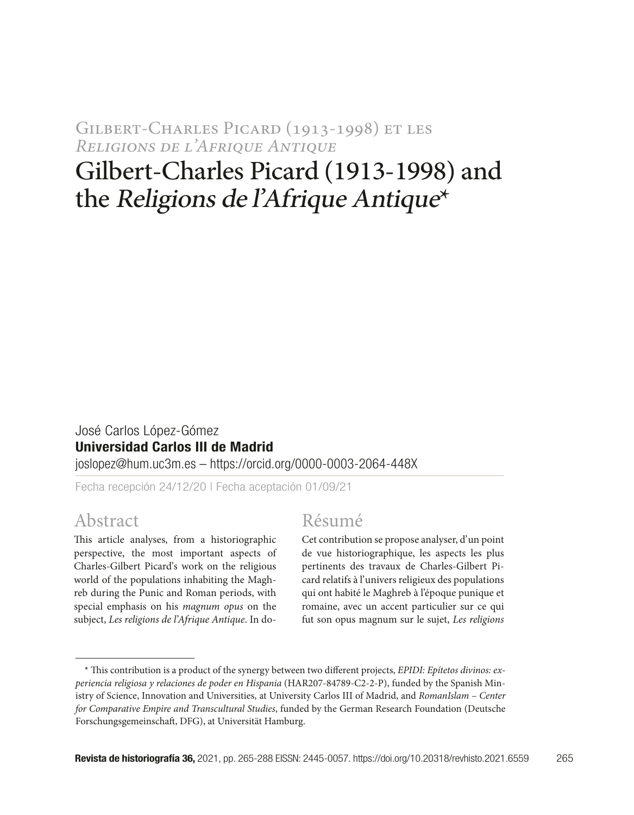Gilbert-Charles Picard (1913-1998) et les *Religions de l'Afrique Antique*

# Gilbert-Charles Picard (1913-1998) and the Religions de l'Afrique Antique\*

#### José Carlos López-Gómez Universidad Carlos III de Madrid joslopez@hum.uc3m.es – https://orcid.org/0000-0003-2064-448X

Fecha recepción 24/12/20 | Fecha aceptación 01/09/21

## Abstract

This article analyses, from a historiographic perspective, the most important aspects of Charles-Gilbert Picard's work on the religious world of the populations inhabiting the Maghreb during the Punic and Roman periods, with special emphasis on his *magnum opus* on the subject, *Les religions de l'Afrique Antique*. In do-

## Résumé

Cet contribution se propose analyser, d'un point de vue historiographique, les aspects les plus pertinents des travaux de Charles-Gilbert Picard relatifs à l'univers religieux des populations qui ont habité le Maghreb à l'époque punique et romaine, avec un accent particulier sur ce qui fut son opus magnum sur le sujet, *Les religions* 

<sup>\*</sup> This contribution is a product of the synergy between two different projects, *EPIDI: Epítetos divinos: experiencia religiosa y relaciones de poder en Hispania* (HAR207-84789-C2-2-P), funded by the Spanish Ministry of Science, Innovation and Universities, at University Carlos III of Madrid, and *RomanIslam – Center for Comparative Empire and Transcultural Studies*, funded by the German Research Foundation (Deutsche Forschungsgemeinschaft, DFG), at Universität Hamburg.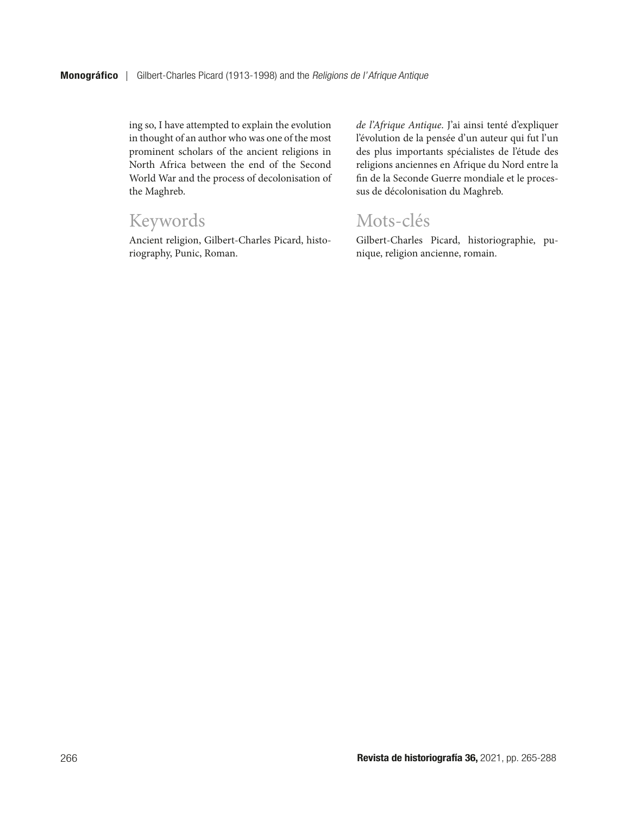ing so, I have attempted to explain the evolution in thought of an author who was one of the most prominent scholars of the ancient religions in North Africa between the end of the Second World War and the process of decolonisation of the Maghreb.

## Keywords

Ancient religion, Gilbert-Charles Picard, historiography, Punic, Roman.

*de l'Afrique Antique*. J'ai ainsi tenté d'expliquer l'évolution de la pensée d'un auteur qui fut l'un des plus importants spécialistes de l'étude des religions anciennes en Afrique du Nord entre la fin de la Seconde Guerre mondiale et le processus de décolonisation du Maghreb.

## Mots-clés

Gilbert-Charles Picard, historiographie, punique, religion ancienne, romain.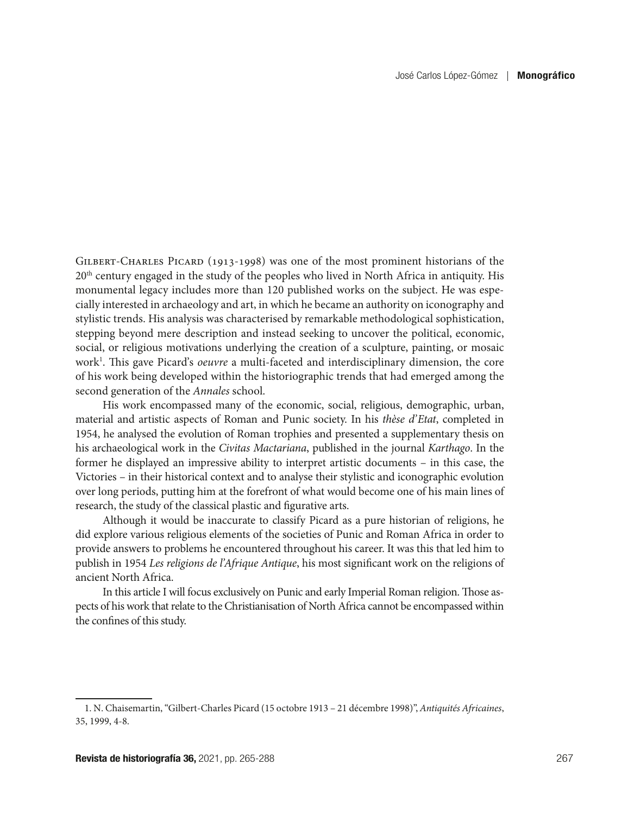Gilbert-Charles Picard (1913-1998) was one of the most prominent historians of the 20<sup>th</sup> century engaged in the study of the peoples who lived in North Africa in antiquity. His monumental legacy includes more than 120 published works on the subject. He was especially interested in archaeology and art, in which he became an authority on iconography and stylistic trends. His analysis was characterised by remarkable methodological sophistication, stepping beyond mere description and instead seeking to uncover the political, economic, social, or religious motivations underlying the creation of a sculpture, painting, or mosaic work<sup>1</sup>. This gave Picard's *oeuvre* a multi-faceted and interdisciplinary dimension, the core of his work being developed within the historiographic trends that had emerged among the second generation of the *Annales* school.

His work encompassed many of the economic, social, religious, demographic, urban, material and artistic aspects of Roman and Punic society. In his *thèse d'Etat*, completed in 1954, he analysed the evolution of Roman trophies and presented a supplementary thesis on his archaeological work in the *Civitas Mactariana*, published in the journal *Karthago*. In the former he displayed an impressive ability to interpret artistic documents – in this case, the Victories – in their historical context and to analyse their stylistic and iconographic evolution over long periods, putting him at the forefront of what would become one of his main lines of research, the study of the classical plastic and figurative arts.

Although it would be inaccurate to classify Picard as a pure historian of religions, he did explore various religious elements of the societies of Punic and Roman Africa in order to provide answers to problems he encountered throughout his career. It was this that led him to publish in 1954 *Les religions de l'Afrique Antique*, his most significant work on the religions of ancient North Africa.

In this article I will focus exclusively on Punic and early Imperial Roman religion. Those aspects of his work that relate to the Christianisation of North Africa cannot be encompassed within the confines of this study.

<sup>1.</sup> N. Chaisemartin, "Gilbert-Charles Picard (15 octobre 1913 – 21 décembre 1998)", *Antiquités Africaines*, 35, 1999, 4-8.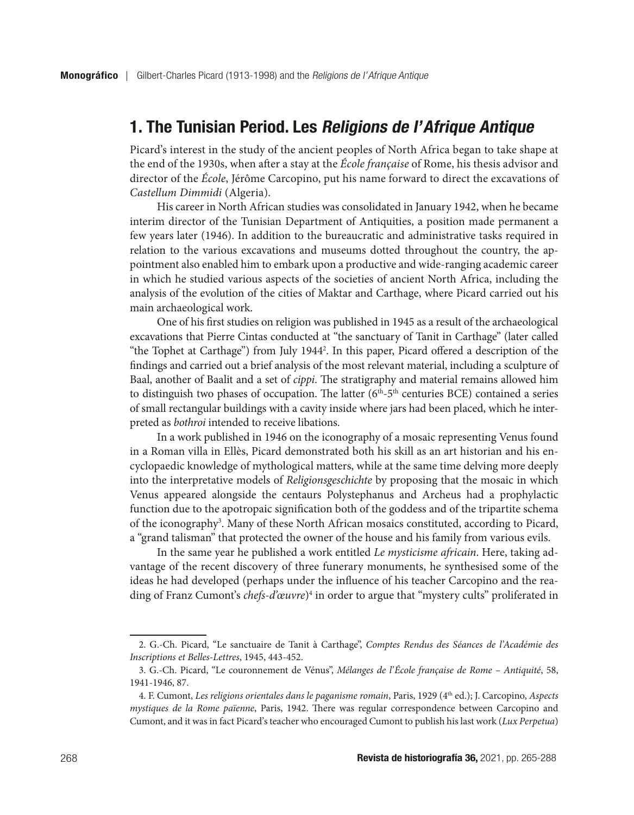## 1. The Tunisian Period. Les Religions de l'Afrique Antique

Picard's interest in the study of the ancient peoples of North Africa began to take shape at the end of the 1930s, when after a stay at the *École française* of Rome, his thesis advisor and director of the *École*, Jérôme Carcopino, put his name forward to direct the excavations of *Castellum Dimmidi* (Algeria).

His career in North African studies was consolidated in January 1942, when he became interim director of the Tunisian Department of Antiquities, a position made permanent a few years later (1946). In addition to the bureaucratic and administrative tasks required in relation to the various excavations and museums dotted throughout the country, the appointment also enabled him to embark upon a productive and wide-ranging academic career in which he studied various aspects of the societies of ancient North Africa, including the analysis of the evolution of the cities of Maktar and Carthage, where Picard carried out his main archaeological work.

One of his first studies on religion was published in 1945 as a result of the archaeological excavations that Pierre Cintas conducted at "the sanctuary of Tanit in Carthage" (later called "the Tophet at Carthage") from July 19442 . In this paper, Picard offered a description of the findings and carried out a brief analysis of the most relevant material, including a sculpture of Baal, another of Baalit and a set of *cippi*. The stratigraphy and material remains allowed him to distinguish two phases of occupation. The latter  $(6<sup>th</sup>-5<sup>th</sup>$  centuries BCE) contained a series of small rectangular buildings with a cavity inside where jars had been placed, which he interpreted as *bothroi* intended to receive libations.

In a work published in 1946 on the iconography of a mosaic representing Venus found in a Roman villa in Ellès, Picard demonstrated both his skill as an art historian and his encyclopaedic knowledge of mythological matters, while at the same time delving more deeply into the interpretative models of *Religionsgeschichte* by proposing that the mosaic in which Venus appeared alongside the centaurs Polystephanus and Archeus had a prophylactic function due to the apotropaic signification both of the goddess and of the tripartite schema of the iconography<sup>3</sup>. Many of these North African mosaics constituted, according to Picard, a "grand talisman" that protected the owner of the house and his family from various evils.

In the same year he published a work entitled *Le mysticisme africain*. Here, taking advantage of the recent discovery of three funerary monuments, he synthesised some of the ideas he had developed (perhaps under the influence of his teacher Carcopino and the reading of Franz Cumont's *chefs-d'œuvre*)4 in order to argue that "mystery cults" proliferated in

<sup>2.</sup> G.-Ch. Picard, "Le sanctuaire de Tanit à Carthage", *Comptes Rendus des Séances de l'Académie des Inscriptions et Belles-Lettres*, 1945, 443-452.

<sup>3.</sup> G.-Ch. Picard, "Le couronnement de Vénus", *Mélanges de l'École française de Rome – Antiquité*, 58, 1941-1946, 87.

<sup>4.</sup> F. Cumont, *Les religions orientales dans le paganisme romain*, Paris, 1929 (4th ed.); J. Carcopino, *Aspects mystiques de la Rome païenne*, Paris, 1942. There was regular correspondence between Carcopino and Cumont, and it was in fact Picard's teacher who encouraged Cumont to publish his last work (*Lux Perpetua*)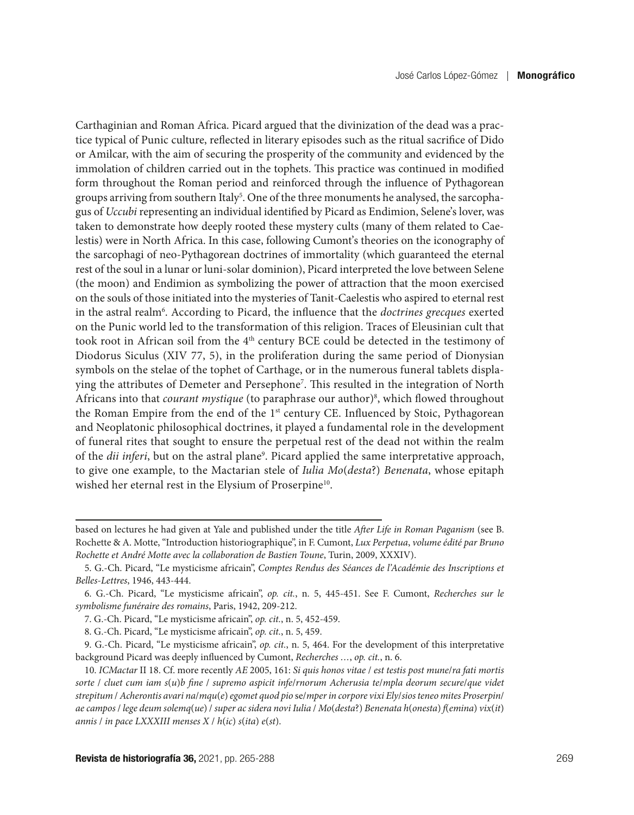Carthaginian and Roman Africa. Picard argued that the divinization of the dead was a practice typical of Punic culture, reflected in literary episodes such as the ritual sacrifice of Dido or Amilcar, with the aim of securing the prosperity of the community and evidenced by the immolation of children carried out in the tophets. This practice was continued in modified form throughout the Roman period and reinforced through the influence of Pythagorean groups arriving from southern Italy<sup>5</sup>. One of the three monuments he analysed, the sarcophagus of *Uccubi* representing an individual identified by Picard as Endimion, Selene's lover, was taken to demonstrate how deeply rooted these mystery cults (many of them related to Caelestis) were in North Africa. In this case, following Cumont's theories on the iconography of the sarcophagi of neo-Pythagorean doctrines of immortality (which guaranteed the eternal rest of the soul in a lunar or luni-solar dominion), Picard interpreted the love between Selene (the moon) and Endimion as symbolizing the power of attraction that the moon exercised on the souls of those initiated into the mysteries of Tanit-Caelestis who aspired to eternal rest in the astral realm<sup>6</sup>. According to Picard, the influence that the *doctrines grecques* exerted on the Punic world led to the transformation of this religion. Traces of Eleusinian cult that took root in African soil from the 4<sup>th</sup> century BCE could be detected in the testimony of Diodorus Siculus (XIV 77, 5), in the proliferation during the same period of Dionysian symbols on the stelae of the tophet of Carthage, or in the numerous funeral tablets displaying the attributes of Demeter and Persephone7 . This resulted in the integration of North Africans into that *courant mystique* (to paraphrase our author)8 , which flowed throughout the Roman Empire from the end of the 1<sup>st</sup> century CE. Influenced by Stoic, Pythagorean and Neoplatonic philosophical doctrines, it played a fundamental role in the development of funeral rites that sought to ensure the perpetual rest of the dead not within the realm of the *dii inferi*, but on the astral plane<sup>9</sup>. Picard applied the same interpretative approach, to give one example, to the Mactarian stele of *Iulia Mo*(*desta*?) *Benenata*, whose epitaph wished her eternal rest in the Elysium of Proserpine<sup>10</sup>.

based on lectures he had given at Yale and published under the title *After Life in Roman Paganism* (see B. Rochette & A. Motte, "Introduction historiographique", in F. Cumont, *Lux Perpetua*, *volume édité par Bruno Rochette et André Motte avec la collaboration de Bastien Toune*, Turin, 2009, XXXIV).

<sup>5.</sup> G.-Ch. Picard, "Le mysticisme africain", *Comptes Rendus des Séances de l'Académie des Inscriptions et Belles-Lettres*, 1946, 443-444.

<sup>6.</sup> G.-Ch. Picard, "Le mysticisme africain", *op. cit.*, n. 5, 445-451. See F. Cumont, *Recherches sur le symbolisme funéraire des romains*, Paris, 1942, 209-212.

<sup>7.</sup> G.-Ch. Picard, "Le mysticisme africain", *op. cit.*, n. 5, 452-459.

<sup>8.</sup> G.-Ch. Picard, "Le mysticisme africain", *op. cit.*, n. 5, 459.

<sup>9.</sup> G.-Ch. Picard, "Le mysticisme africain", *op. cit.*, n. 5, 464. For the development of this interpretative background Picard was deeply influenced by Cumont, *Recherches …*, *op. cit.*, n. 6.

<sup>10.</sup> *ICMactar* II 18. Cf. more recently *AE* 2005, 161: *Si quis honos vitae* / *est testis post mune*/*ra fati mortis sorte* / *cluet cum iam s*(*u*)*b fine* / *supremo aspicit infe*/*rnorum Acherusia te*/*mpla deorum secure*/*que videt strepitum* / *Acherontis avari na*/*mqu*(*e*) *egomet quod pio* se/*mperin corpore vixi Ely*/*siosteneo mites Proserpin*/ ae campos / lege deum solemq(ue) / super ac sidera novi Iulia / Mo(desta?) Benenata h(onesta) f(emina) vix(it) *annis* / *in pace LXXXIII menses X* / *h*(*ic*) *s*(*ita*) *e*(*st*).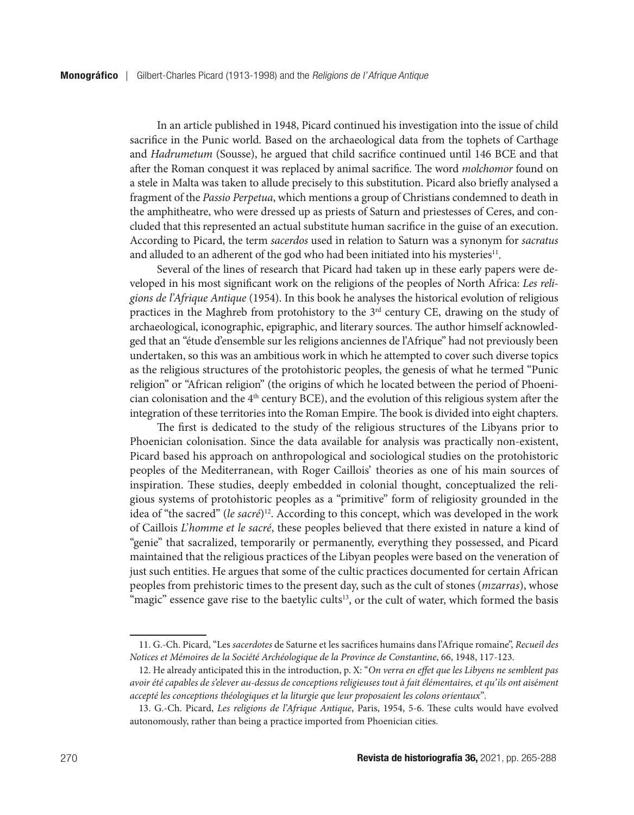In an article published in 1948, Picard continued his investigation into the issue of child sacrifice in the Punic world. Based on the archaeological data from the tophets of Carthage and *Hadrumetum* (Sousse), he argued that child sacrifice continued until 146 BCE and that after the Roman conquest it was replaced by animal sacrifice. The word *molchomor* found on a stele in Malta was taken to allude precisely to this substitution. Picard also briefly analysed a fragment of the *Passio Perpetua*, which mentions a group of Christians condemned to death in the amphitheatre, who were dressed up as priests of Saturn and priestesses of Ceres, and concluded that this represented an actual substitute human sacrifice in the guise of an execution. According to Picard, the term *sacerdos* used in relation to Saturn was a synonym for *sacratus* and alluded to an adherent of the god who had been initiated into his mysteries<sup>11</sup>.

Several of the lines of research that Picard had taken up in these early papers were developed in his most significant work on the religions of the peoples of North Africa: *Les religions de l'Afrique Antique* (1954). In this book he analyses the historical evolution of religious practices in the Maghreb from protohistory to the 3<sup>rd</sup> century CE, drawing on the study of archaeological, iconographic, epigraphic, and literary sources. The author himself acknowledged that an "étude d'ensemble sur les religions anciennes de l'Afrique" had not previously been undertaken, so this was an ambitious work in which he attempted to cover such diverse topics as the religious structures of the protohistoric peoples, the genesis of what he termed "Punic religion" or "African religion" (the origins of which he located between the period of Phoenician colonisation and the 4<sup>th</sup> century BCE), and the evolution of this religious system after the integration of these territories into the Roman Empire. The book is divided into eight chapters.

The first is dedicated to the study of the religious structures of the Libyans prior to Phoenician colonisation. Since the data available for analysis was practically non-existent, Picard based his approach on anthropological and sociological studies on the protohistoric peoples of the Mediterranean, with Roger Caillois' theories as one of his main sources of inspiration. These studies, deeply embedded in colonial thought, conceptualized the religious systems of protohistoric peoples as a "primitive" form of religiosity grounded in the idea of "the sacred" (*le sacré*)<sup>12</sup>. According to this concept, which was developed in the work of Caillois *L'homme et le sacré*, these peoples believed that there existed in nature a kind of "genie" that sacralized, temporarily or permanently, everything they possessed, and Picard maintained that the religious practices of the Libyan peoples were based on the veneration of just such entities. He argues that some of the cultic practices documented for certain African peoples from prehistoric times to the present day, such as the cult of stones (*mzarras*), whose "magic" essence gave rise to the baetylic cults<sup>13</sup>, or the cult of water, which formed the basis

<sup>11.</sup> G.-Ch. Picard, "Les *sacerdotes* de Saturne et les sacrifices humains dans l'Afrique romaine", *Recueil des Notices et Mémoires de la Société Archéologique de la Province de Constantine*, 66, 1948, 117-123.

<sup>12.</sup> He already anticipated this in the introduction, p. X: "*On verra en effet que les Libyens ne semblent pas avoir été capables de s'elever au-dessus de conceptions religieuses tout à fait élémentaires, et qu'ils ont aisément accepté les conceptions théologiques et la liturgie que leur proposaient les colons orientaux*"*.*

<sup>13.</sup> G.-Ch. Picard, *Les religions de l'Afrique Antique*, Paris, 1954, 5-6. These cults would have evolved autonomously, rather than being a practice imported from Phoenician cities.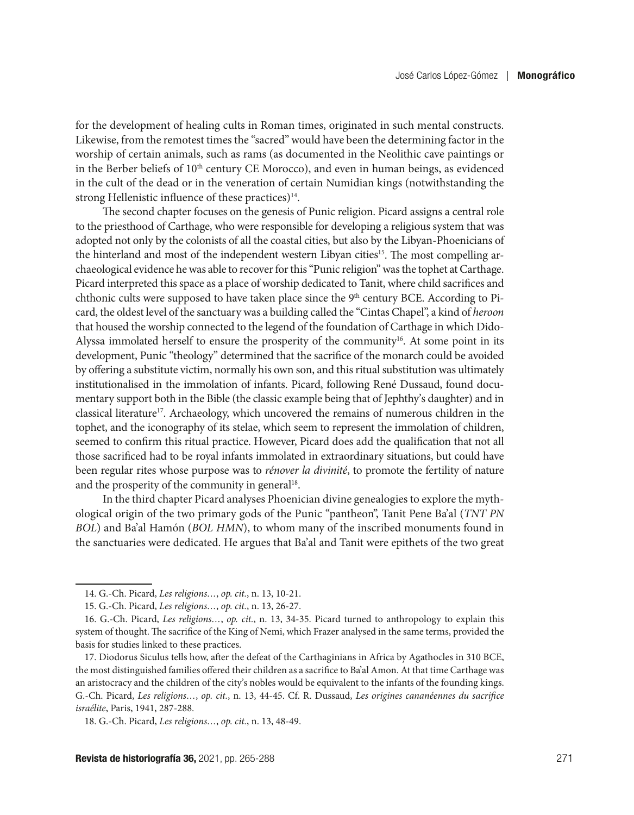for the development of healing cults in Roman times, originated in such mental constructs. Likewise, from the remotest times the "sacred" would have been the determining factor in the worship of certain animals, such as rams (as documented in the Neolithic cave paintings or in the Berber beliefs of 10<sup>th</sup> century CE Morocco), and even in human beings, as evidenced in the cult of the dead or in the veneration of certain Numidian kings (notwithstanding the strong Hellenistic influence of these practices)<sup>14</sup>.

The second chapter focuses on the genesis of Punic religion. Picard assigns a central role to the priesthood of Carthage, who were responsible for developing a religious system that was adopted not only by the colonists of all the coastal cities, but also by the Libyan-Phoenicians of the hinterland and most of the independent western Libyan cities<sup>15</sup>. The most compelling archaeological evidence he was able to recover for this "Punic religion" was the tophet at Carthage. Picard interpreted this space as a place of worship dedicated to Tanit, where child sacrifices and chthonic cults were supposed to have taken place since the 9<sup>th</sup> century BCE. According to Picard, the oldest level of the sanctuary was a building called the "Cintas Chapel", a kind of *heroon* that housed the worship connected to the legend of the foundation of Carthage in which Dido-Alyssa immolated herself to ensure the prosperity of the community<sup>16</sup>. At some point in its development, Punic "theology" determined that the sacrifice of the monarch could be avoided by offering a substitute victim, normally his own son, and this ritual substitution was ultimately institutionalised in the immolation of infants. Picard, following René Dussaud, found documentary support both in the Bible (the classic example being that of Jephthy's daughter) and in classical literature<sup>17</sup>. Archaeology, which uncovered the remains of numerous children in the tophet, and the iconography of its stelae, which seem to represent the immolation of children, seemed to confirm this ritual practice. However, Picard does add the qualification that not all those sacrificed had to be royal infants immolated in extraordinary situations, but could have been regular rites whose purpose was to *rénover la divinité*, to promote the fertility of nature and the prosperity of the community in general<sup>18</sup>.

In the third chapter Picard analyses Phoenician divine genealogies to explore the mythological origin of the two primary gods of the Punic "pantheon", Tanit Pene Ba'al (*TNT PN BOL*) and Ba'al Hamón (*BOL HMN*), to whom many of the inscribed monuments found in the sanctuaries were dedicated. He argues that Ba'al and Tanit were epithets of the two great

<sup>14.</sup> G.-Ch. Picard, *Les religions…*, *op. cit.*, n. 13, 10-21.

<sup>15.</sup> G.-Ch. Picard, *Les religions…*, *op. cit.*, n. 13, 26-27.

<sup>16.</sup> G.-Ch. Picard, *Les religions…*, *op. cit.*, n. 13, 34-35. Picard turned to anthropology to explain this system of thought. The sacrifice of the King of Nemi, which Frazer analysed in the same terms, provided the basis for studies linked to these practices.

<sup>17.</sup> Diodorus Siculus tells how, after the defeat of the Carthaginians in Africa by Agathocles in 310 BCE, the most distinguished families offered their children as a sacrifice to Ba'al Amon. At that time Carthage was an aristocracy and the children of the city's nobles would be equivalent to the infants of the founding kings. G.-Ch. Picard, *Les religions…*, *op. cit.*, n. 13, 44-45. Cf. R. Dussaud, *Les origines cananéennes du sacrifice israélite*, Paris, 1941, 287-288.

<sup>18.</sup> G.-Ch. Picard, *Les religions…*, *op. cit.*, n. 13, 48-49.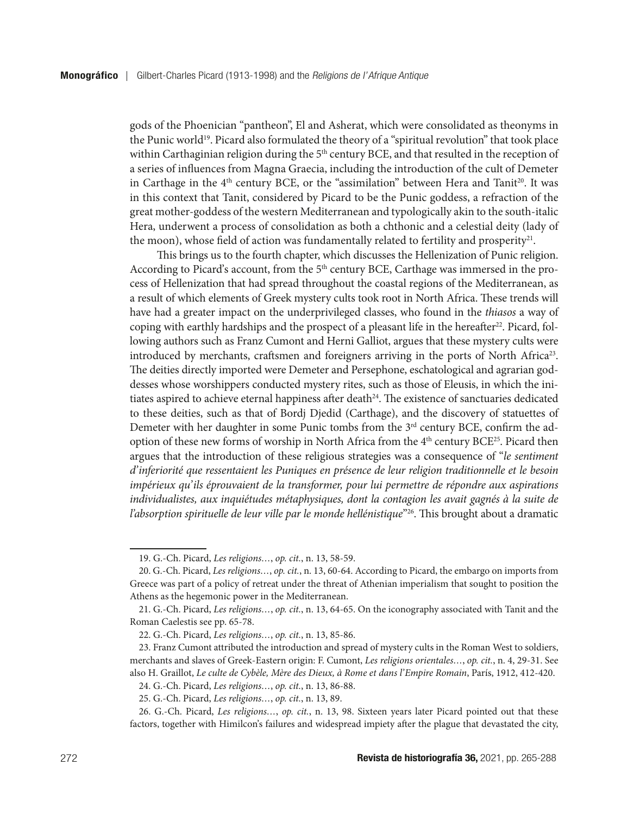gods of the Phoenician "pantheon", El and Asherat, which were consolidated as theonyms in the Punic world<sup>19</sup>. Picard also formulated the theory of a "spiritual revolution" that took place within Carthaginian religion during the  $5<sup>th</sup>$  century BCE, and that resulted in the reception of a series of influences from Magna Graecia, including the introduction of the cult of Demeter in Carthage in the  $4<sup>th</sup>$  century BCE, or the "assimilation" between Hera and Tanit<sup>20</sup>. It was in this context that Tanit, considered by Picard to be the Punic goddess, a refraction of the great mother-goddess of the western Mediterranean and typologically akin to the south-italic Hera, underwent a process of consolidation as both a chthonic and a celestial deity (lady of the moon), whose field of action was fundamentally related to fertility and prosperity $2^1$ .

This brings us to the fourth chapter, which discusses the Hellenization of Punic religion. According to Picard's account, from the 5<sup>th</sup> century BCE, Carthage was immersed in the process of Hellenization that had spread throughout the coastal regions of the Mediterranean, as a result of which elements of Greek mystery cults took root in North Africa. These trends will have had a greater impact on the underprivileged classes, who found in the *thiasos* a way of coping with earthly hardships and the prospect of a pleasant life in the hereafter $2^2$ . Picard, following authors such as Franz Cumont and Herni Galliot, argues that these mystery cults were introduced by merchants, craftsmen and foreigners arriving in the ports of North Africa<sup>23</sup>. The deities directly imported were Demeter and Persephone, eschatological and agrarian goddesses whose worshippers conducted mystery rites, such as those of Eleusis, in which the initiates aspired to achieve eternal happiness after death<sup>24</sup>. The existence of sanctuaries dedicated to these deities, such as that of Bordj Djedid (Carthage), and the discovery of statuettes of Demeter with her daughter in some Punic tombs from the  $3<sup>rd</sup>$  century BCE, confirm the adoption of these new forms of worship in North Africa from the  $4<sup>th</sup>$  century BCE<sup>25</sup>. Picard then argues that the introduction of these religious strategies was a consequence of "*le sentiment d'inferiorité que ressentaient les Puniques en présence de leur religion traditionnelle et le besoin impérieux qu'ils éprouvaient de la transformer, pour lui permettre de répondre aux aspirations individualistes, aux inquiétudes métaphysiques, dont la contagion les avait gagnés à la suite de l'absorption spirituelle de leur ville par le monde hellénistique*"<sup>26</sup>. This brought about a dramatic

<sup>19.</sup> G.-Ch. Picard, *Les religions…*, *op. cit.*, n. 13, 58-59.

<sup>20.</sup> G.-Ch. Picard, *Les religions…*, *op. cit.*, n. 13, 60-64. According to Picard, the embargo on imports from Greece was part of a policy of retreat under the threat of Athenian imperialism that sought to position the Athens as the hegemonic power in the Mediterranean.

<sup>21.</sup> G.-Ch. Picard, *Les religions…*, *op. cit.*, n. 13, 64-65. On the iconography associated with Tanit and the Roman Caelestis see pp. 65-78.

<sup>22.</sup> G.-Ch. Picard, *Les religions…*, *op. cit.*, n. 13, 85-86.

<sup>23.</sup> Franz Cumont attributed the introduction and spread of mystery cults in the Roman West to soldiers, merchants and slaves of Greek-Eastern origin: F. Cumont, *Les religions orientales…*, *op. cit.*, n. 4, 29-31. See also H. Graillot, *Le culte de Cybèle, Mère des Dieux, à Rome et dans l'Empire Romain*, París, 1912, 412-420.

<sup>24.</sup> G.-Ch. Picard, *Les religions…*, *op. cit.*, n. 13, 86-88.

<sup>25.</sup> G.-Ch. Picard, *Les religions…*, *op. cit.*, n. 13, 89.

<sup>26.</sup> G.-Ch. Picard, *Les religions…*, *op. cit.*, n. 13, 98. Sixteen years later Picard pointed out that these factors, together with Himilcon's failures and widespread impiety after the plague that devastated the city,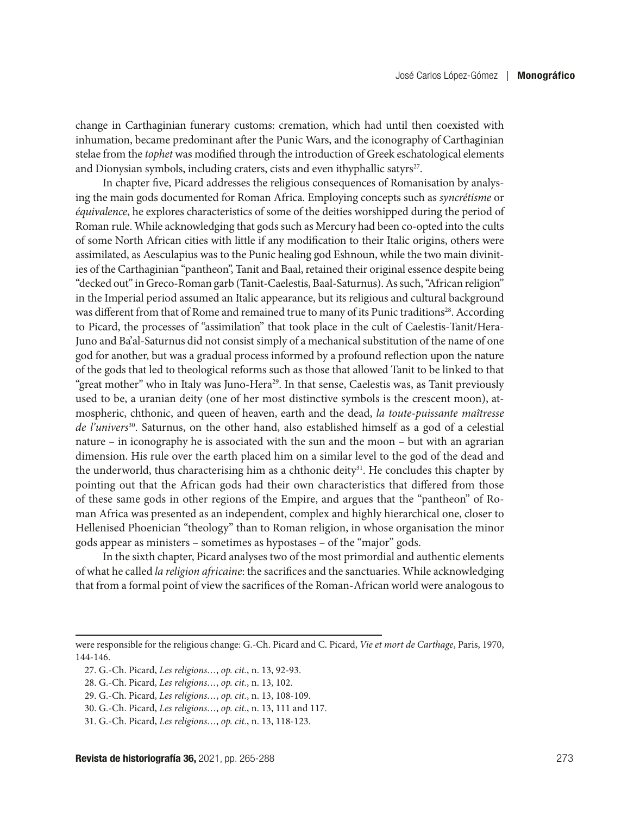change in Carthaginian funerary customs: cremation, which had until then coexisted with inhumation, became predominant after the Punic Wars, and the iconography of Carthaginian stelae from the *tophet* was modified through the introduction of Greek eschatological elements and Dionysian symbols, including craters, cists and even ithyphallic satyrs $27$ .

In chapter five, Picard addresses the religious consequences of Romanisation by analysing the main gods documented for Roman Africa. Employing concepts such as *syncrétisme* or *équivalence*, he explores characteristics of some of the deities worshipped during the period of Roman rule. While acknowledging that gods such as Mercury had been co-opted into the cults of some North African cities with little if any modification to their Italic origins, others were assimilated, as Aesculapius was to the Punic healing god Eshnoun, while the two main divinities of the Carthaginian "pantheon", Tanit and Baal, retained their original essence despite being "decked out" in Greco-Roman garb (Tanit-Caelestis, Baal-Saturnus). As such, "African religion" in the Imperial period assumed an Italic appearance, but its religious and cultural background was different from that of Rome and remained true to many of its Punic traditions<sup>28</sup>. According to Picard, the processes of "assimilation" that took place in the cult of Caelestis-Tanit/Hera-Juno and Ba'al-Saturnus did not consist simply of a mechanical substitution of the name of one god for another, but was a gradual process informed by a profound reflection upon the nature of the gods that led to theological reforms such as those that allowed Tanit to be linked to that "great mother" who in Italy was Juno-Hera<sup>29</sup>. In that sense, Caelestis was, as Tanit previously used to be, a uranian deity (one of her most distinctive symbols is the crescent moon), atmospheric, chthonic, and queen of heaven, earth and the dead, *la toute-puissante maîtresse de l'univers*30. Saturnus, on the other hand, also established himself as a god of a celestial nature – in iconography he is associated with the sun and the moon – but with an agrarian dimension. His rule over the earth placed him on a similar level to the god of the dead and the underworld, thus characterising him as a chthonic deity<sup>31</sup>. He concludes this chapter by pointing out that the African gods had their own characteristics that differed from those of these same gods in other regions of the Empire, and argues that the "pantheon" of Roman Africa was presented as an independent, complex and highly hierarchical one, closer to Hellenised Phoenician "theology" than to Roman religion, in whose organisation the minor gods appear as ministers – sometimes as hypostases – of the "major" gods.

In the sixth chapter, Picard analyses two of the most primordial and authentic elements of what he called *la religion africaine*: the sacrifices and the sanctuaries. While acknowledging that from a formal point of view the sacrifices of the Roman-African world were analogous to

were responsible for the religious change: G.-Ch. Picard and C. Picard, *Vie et mort de Carthage*, Paris, 1970, 144-146.

<sup>27.</sup> G.-Ch. Picard, *Les religions…*, *op. cit.*, n. 13, 92-93.

<sup>28.</sup> G.-Ch. Picard, *Les religions…*, *op. cit.*, n. 13, 102.

<sup>29.</sup> G.-Ch. Picard, *Les religions…*, *op. cit.*, n. 13, 108-109.

<sup>30.</sup> G.-Ch. Picard, *Les religions…*, *op. cit.*, n. 13, 111 and 117.

<sup>31.</sup> G.-Ch. Picard, *Les religions…*, *op. cit.*, n. 13, 118-123.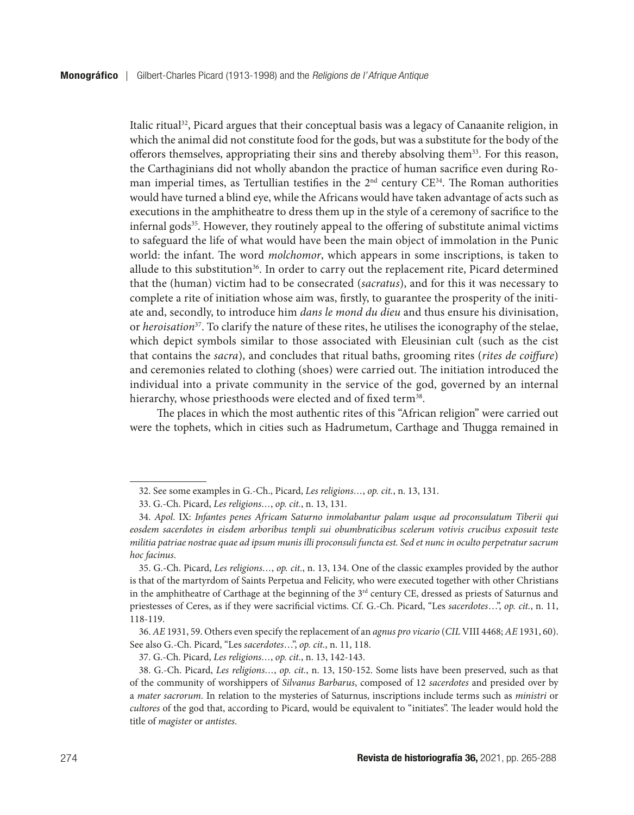Italic ritual<sup>32</sup>, Picard argues that their conceptual basis was a legacy of Canaanite religion, in which the animal did not constitute food for the gods, but was a substitute for the body of the offerors themselves, appropriating their sins and thereby absolving them33. For this reason, the Carthaginians did not wholly abandon the practice of human sacrifice even during Roman imperial times, as Tertullian testifies in the  $2<sup>nd</sup>$  century  $CE<sup>34</sup>$ . The Roman authorities would have turned a blind eye, while the Africans would have taken advantage of acts such as executions in the amphitheatre to dress them up in the style of a ceremony of sacrifice to the infernal gods $35$ . However, they routinely appeal to the offering of substitute animal victims to safeguard the life of what would have been the main object of immolation in the Punic world: the infant. The word *molchomor*, which appears in some inscriptions, is taken to allude to this substitution<sup>36</sup>. In order to carry out the replacement rite, Picard determined that the (human) victim had to be consecrated (*sacratus*), and for this it was necessary to complete a rite of initiation whose aim was, firstly, to guarantee the prosperity of the initiate and, secondly, to introduce him *dans le mond du dieu* and thus ensure his divinisation, or *heroisation*37. To clarify the nature of these rites, he utilises the iconography of the stelae, which depict symbols similar to those associated with Eleusinian cult (such as the cist that contains the *sacra*), and concludes that ritual baths, grooming rites (*rites de coiffure*) and ceremonies related to clothing (shoes) were carried out. The initiation introduced the individual into a private community in the service of the god, governed by an internal hierarchy, whose priesthoods were elected and of fixed term<sup>38</sup>.

The places in which the most authentic rites of this "African religion" were carried out were the tophets, which in cities such as Hadrumetum, Carthage and Thugga remained in

36. *AE* 1931, 59. Others even specify the replacement of an *agnus pro vicario* (*CIL* VIII 4468; *AE* 1931, 60). See also G.-Ch. Picard, "Les *sacerdotes*…", *op. cit.*, n. 11, 118.

37. G.-Ch. Picard, *Les religions…*, *op. cit.*, n. 13, 142-143.

<sup>32.</sup> See some examples in G.-Ch., Picard, *Les religions…*, *op. cit.*, n. 13, 131.

<sup>33.</sup> G.-Ch. Picard, *Les religions…*, *op. cit.*, n. 13, 131.

<sup>34.</sup> *Apol*. IX: *Infantes penes Africam Saturno inmolabantur palam usque ad proconsulatum Tiberii qui eosdem sacerdotes in eisdem arboribus templi sui obumbraticibus scelerum votivis crucibus exposuit teste militia patriae nostrae quae ad ipsum munis illi proconsuli functa est. Sed et nunc in oculto perpetratur sacrum hoc facinus*.

<sup>35.</sup> G.-Ch. Picard, *Les religions…*, *op. cit.*, n. 13, 134. One of the classic examples provided by the author is that of the martyrdom of Saints Perpetua and Felicity, who were executed together with other Christians in the amphitheatre of Carthage at the beginning of the 3rd century CE, dressed as priests of Saturnus and priestesses of Ceres, as if they were sacrificial victims. Cf. G.-Ch. Picard, "Les *sacerdotes*…", *op. cit.*, n. 11, 118-119.

<sup>38.</sup> G.-Ch. Picard, *Les religions…*, *op. cit.*, n. 13, 150-152. Some lists have been preserved, such as that of the community of worshippers of *Silvanus Barbarus*, composed of 12 *sacerdotes* and presided over by a *mater sacrorum*. In relation to the mysteries of Saturnus, inscriptions include terms such as *ministri* or *cultores* of the god that, according to Picard, would be equivalent to "initiates". The leader would hold the title of *magister* or *antistes*.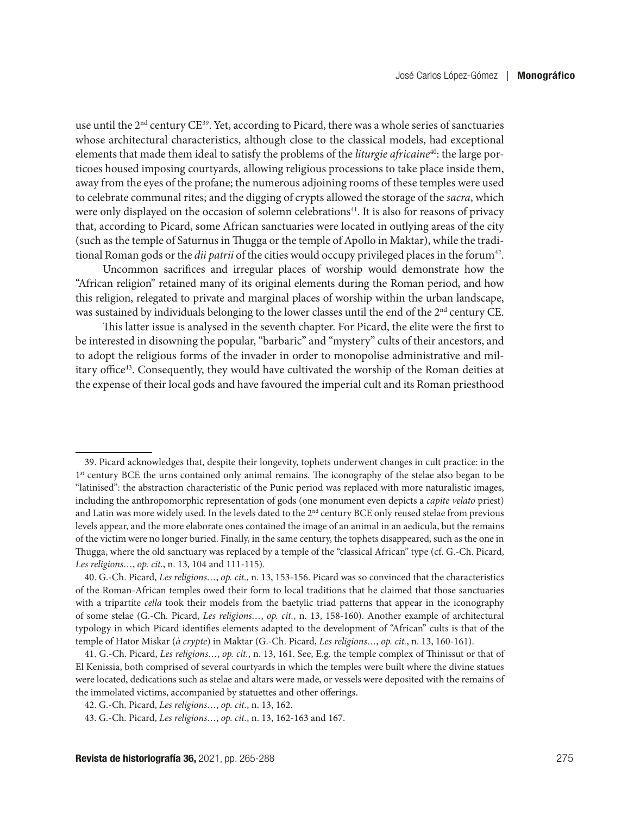use until the 2<sup>nd</sup> century CE<sup>39</sup>. Yet, according to Picard, there was a whole series of sanctuaries whose architectural characteristics, although close to the classical models, had exceptional elements that made them ideal to satisfy the problems of the *liturgie africaine*40: the large porticoes housed imposing courtyards, allowing religious processions to take place inside them, away from the eyes of the profane; the numerous adjoining rooms of these temples were used to celebrate communal rites; and the digging of crypts allowed the storage of the *sacra*, which were only displayed on the occasion of solemn celebrations<sup>41</sup>. It is also for reasons of privacy that, according to Picard, some African sanctuaries were located in outlying areas of the city (such as the temple of Saturnus in Thugga or the temple of Apollo in Maktar), while the traditional Roman gods or the *dii patrii* of the cities would occupy privileged places in the forum<sup>42</sup>.

Uncommon sacrifices and irregular places of worship would demonstrate how the "African religion" retained many of its original elements during the Roman period, and how this religion, relegated to private and marginal places of worship within the urban landscape, was sustained by individuals belonging to the lower classes until the end of the 2<sup>nd</sup> century CE.

This latter issue is analysed in the seventh chapter. For Picard, the elite were the first to be interested in disowning the popular, "barbaric" and "mystery" cults of their ancestors, and to adopt the religious forms of the invader in order to monopolise administrative and military office<sup>43</sup>. Consequently, they would have cultivated the worship of the Roman deities at the expense of their local gods and have favoured the imperial cult and its Roman priesthood

<sup>39.</sup> Picard acknowledges that, despite their longevity, tophets underwent changes in cult practice: in the 1<sup>st</sup> century BCE the urns contained only animal remains. The iconography of the stelae also began to be "latinised": the abstraction characteristic of the Punic period was replaced with more naturalistic images, including the anthropomorphic representation of gods (one monument even depicts a *capite velato* priest) and Latin was more widely used. In the levels dated to the  $2<sup>nd</sup>$  century BCE only reused stelae from previous levels appear, and the more elaborate ones contained the image of an animal in an aedicula, but the remains of the victim were no longer buried. Finally, in the same century, the tophets disappeared, such as the one in Thugga, where the old sanctuary was replaced by a temple of the "classical African" type (cf. G.-Ch. Picard, *Les religions…*, *op. cit.*, n. 13, 104 and 111-115).

<sup>40.</sup> G.-Ch. Picard, *Les religions…*, *op. cit.*, n. 13, 153-156. Picard was so convinced that the characteristics of the Roman-African temples owed their form to local traditions that he claimed that those sanctuaries with a tripartite *cella* took their models from the baetylic triad patterns that appear in the iconography of some stelae (G.-Ch. Picard, *Les religions…*, *op. cit.*, n. 13, 158-160). Another example of architectural typology in which Picard identifies elements adapted to the development of "African" cults is that of the temple of Hator Miskar (*à crypte*) in Maktar (G.-Ch. Picard, *Les religions…*, *op. cit.*, n. 13, 160-161).

<sup>41.</sup> G.-Ch. Picard, *Les religions…*, *op. cit.*, n. 13, 161. See, E.g. the temple complex of Thinissut or that of El Kenissia, both comprised of several courtyards in which the temples were built where the divine statues were located, dedications such as stelae and altars were made, or vessels were deposited with the remains of the immolated victims, accompanied by statuettes and other offerings.

<sup>42.</sup> G.-Ch. Picard, *Les religions…*, *op. cit.*, n. 13, 162.

<sup>43.</sup> G.-Ch. Picard, *Les religions…*, *op. cit.*, n. 13, 162-163 and 167.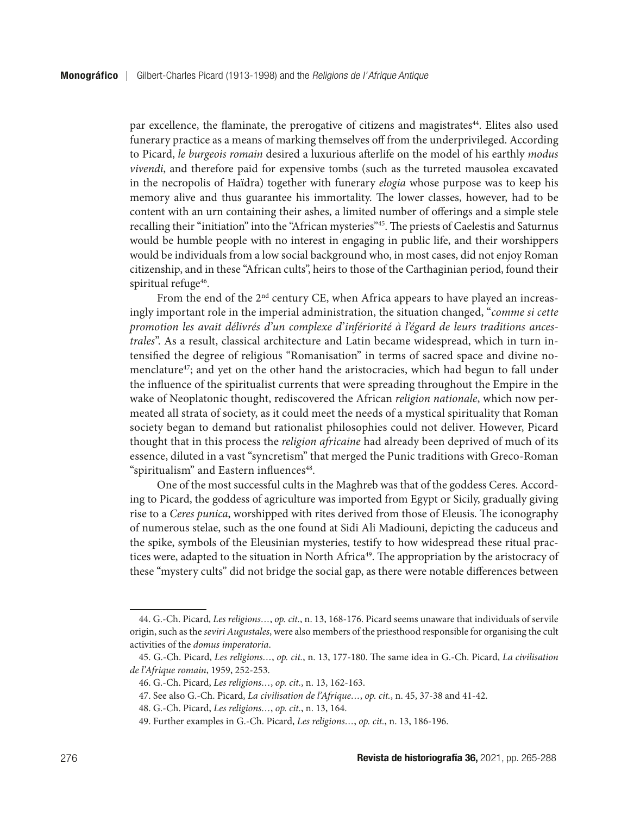par excellence, the flaminate, the prerogative of citizens and magistrates<sup>44</sup>. Elites also used funerary practice as a means of marking themselves off from the underprivileged. According to Picard, *le burgeois romain* desired a luxurious afterlife on the model of his earthly *modus vivendi*, and therefore paid for expensive tombs (such as the turreted mausolea excavated in the necropolis of Haïdra) together with funerary *elogia* whose purpose was to keep his memory alive and thus guarantee his immortality. The lower classes, however, had to be content with an urn containing their ashes, a limited number of offerings and a simple stele recalling their "initiation" into the "African mysteries"45. The priests of Caelestis and Saturnus would be humble people with no interest in engaging in public life, and their worshippers would be individuals from a low social background who, in most cases, did not enjoy Roman citizenship, and in these "African cults", heirs to those of the Carthaginian period, found their spiritual refuge<sup>46</sup>.

From the end of the  $2<sup>nd</sup>$  century CE, when Africa appears to have played an increasingly important role in the imperial administration, the situation changed, "*comme si cette promotion les avait délivrés d'un complexe d'infériorité à l'égard de leurs traditions ancestrales*". As a result, classical architecture and Latin became widespread, which in turn intensified the degree of religious "Romanisation" in terms of sacred space and divine nomenclature<sup>47</sup>; and yet on the other hand the aristocracies, which had begun to fall under the influence of the spiritualist currents that were spreading throughout the Empire in the wake of Neoplatonic thought, rediscovered the African *religion nationale*, which now permeated all strata of society, as it could meet the needs of a mystical spirituality that Roman society began to demand but rationalist philosophies could not deliver. However, Picard thought that in this process the *religion africaine* had already been deprived of much of its essence, diluted in a vast "syncretism" that merged the Punic traditions with Greco-Roman "spiritualism" and Eastern influences<sup>48</sup>.

One of the most successful cults in the Maghreb was that of the goddess Ceres. According to Picard, the goddess of agriculture was imported from Egypt or Sicily, gradually giving rise to a *Ceres punica*, worshipped with rites derived from those of Eleusis. The iconography of numerous stelae, such as the one found at Sidi Ali Madiouni, depicting the caduceus and the spike, symbols of the Eleusinian mysteries, testify to how widespread these ritual practices were, adapted to the situation in North Africa<sup>49</sup>. The appropriation by the aristocracy of these "mystery cults" did not bridge the social gap, as there were notable differences between

<sup>44.</sup> G.-Ch. Picard, *Les religions…*, *op. cit.*, n. 13, 168-176. Picard seems unaware that individuals of servile origin, such as the *seviri Augustales*, were also members of the priesthood responsible for organising the cult activities of the *domus imperatoria*.

<sup>45.</sup> G.-Ch. Picard, *Les religions…*, *op. cit.*, n. 13, 177-180. The same idea in G.-Ch. Picard, *La civilisation de l'Afrique romain*, 1959, 252-253.

<sup>46.</sup> G.-Ch. Picard, *Les religions…*, *op. cit.*, n. 13, 162-163.

<sup>47.</sup> See also G.-Ch. Picard, *La civilisation de l'Afrique…*, *op. cit.*, n. 45, 37-38 and 41-42.

<sup>48.</sup> G.-Ch. Picard, *Les religions…*, *op. cit.*, n. 13, 164.

<sup>49.</sup> Further examples in G.-Ch. Picard, *Les religions…*, *op. cit.*, n. 13, 186-196.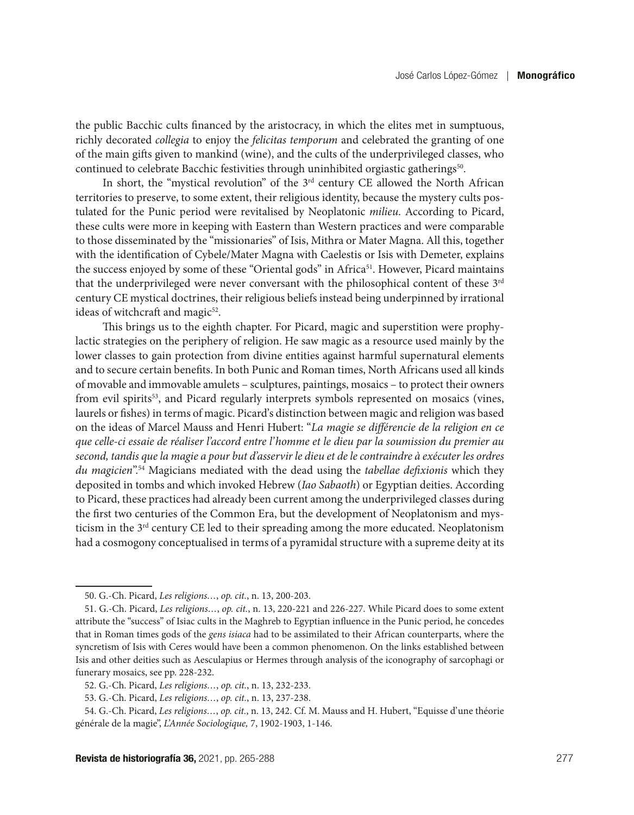the public Bacchic cults financed by the aristocracy, in which the elites met in sumptuous, richly decorated *collegia* to enjoy the *felicitas temporum* and celebrated the granting of one of the main gifts given to mankind (wine), and the cults of the underprivileged classes, who continued to celebrate Bacchic festivities through uninhibited orgiastic gatherings<sup>50</sup>.

In short, the "mystical revolution" of the  $3<sup>rd</sup>$  century CE allowed the North African territories to preserve, to some extent, their religious identity, because the mystery cults postulated for the Punic period were revitalised by Neoplatonic *milieu*. According to Picard, these cults were more in keeping with Eastern than Western practices and were comparable to those disseminated by the "missionaries" of Isis, Mithra or Mater Magna. All this, together with the identification of Cybele/Mater Magna with Caelestis or Isis with Demeter, explains the success enjoyed by some of these "Oriental gods" in Africa<sup>51</sup>. However, Picard maintains that the underprivileged were never conversant with the philosophical content of these 3<sup>rd</sup> century CE mystical doctrines, their religious beliefs instead being underpinned by irrational ideas of witchcraft and magic<sup>52</sup>.

This brings us to the eighth chapter. For Picard, magic and superstition were prophylactic strategies on the periphery of religion. He saw magic as a resource used mainly by the lower classes to gain protection from divine entities against harmful supernatural elements and to secure certain benefits. In both Punic and Roman times, North Africans used all kinds of movable and immovable amulets – sculptures, paintings, mosaics – to protect their owners from evil spirits<sup>53</sup>, and Picard regularly interprets symbols represented on mosaics (vines, laurels or fishes) in terms of magic. Picard's distinction between magic and religion was based on the ideas of Marcel Mauss and Henri Hubert: "*La magie se différencie de la religion en ce que celle-ci essaie de réaliser l'accord entre l'homme et le dieu par la soumission du premier au second, tandis que la magie a pour but d'asservir le dieu et de le contraindre à exécuter les ordres du magicien*".54 Magicians mediated with the dead using the *tabellae defixionis* which they deposited in tombs and which invoked Hebrew (*Iao Sabaoth*) or Egyptian deities. According to Picard, these practices had already been current among the underprivileged classes during the first two centuries of the Common Era, but the development of Neoplatonism and mysticism in the 3<sup>rd</sup> century CE led to their spreading among the more educated. Neoplatonism had a cosmogony conceptualised in terms of a pyramidal structure with a supreme deity at its

<sup>50.</sup> G.-Ch. Picard, *Les religions…*, *op. cit.*, n. 13, 200-203.

<sup>51.</sup> G.-Ch. Picard, *Les religions…*, *op. cit.*, n. 13, 220-221 and 226-227. While Picard does to some extent attribute the "success" of Isiac cults in the Maghreb to Egyptian influence in the Punic period, he concedes that in Roman times gods of the *gens isiaca* had to be assimilated to their African counterparts, where the syncretism of Isis with Ceres would have been a common phenomenon. On the links established between Isis and other deities such as Aesculapius or Hermes through analysis of the iconography of sarcophagi or funerary mosaics, see pp. 228-232.

<sup>52.</sup> G.-Ch. Picard, *Les religions…*, *op. cit.*, n. 13, 232-233.

<sup>53.</sup> G.-Ch. Picard, *Les religions…*, *op. cit.*, n. 13, 237-238.

<sup>54.</sup> G.-Ch. Picard, *Les religions…*, *op. cit.*, n. 13, 242. Cf. M. Mauss and H. Hubert, "Equisse d'une théorie générale de la magie", *L'Année Sociologique,* 7, 1902-1903, 1-146.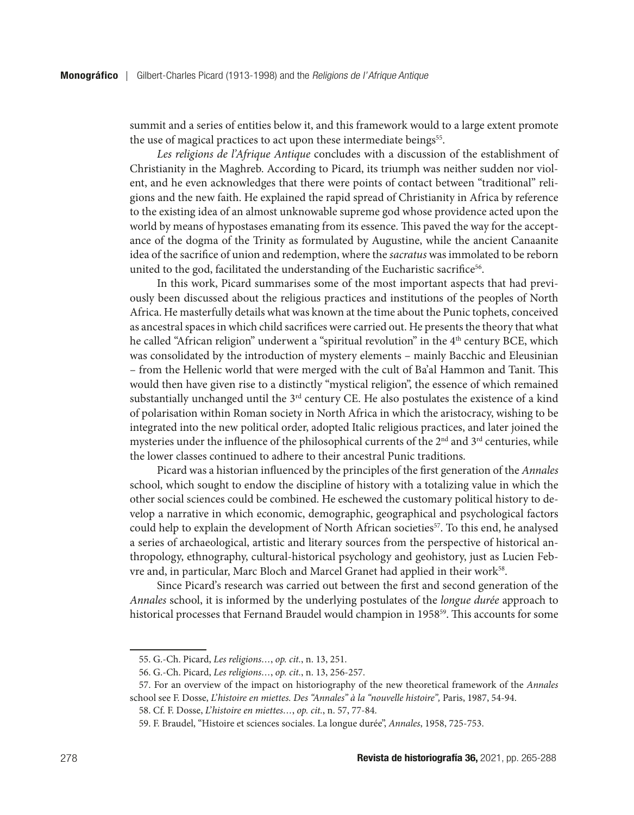summit and a series of entities below it, and this framework would to a large extent promote the use of magical practices to act upon these intermediate beings<sup>55</sup>.

*Les religions de l'Afrique Antique* concludes with a discussion of the establishment of Christianity in the Maghreb. According to Picard, its triumph was neither sudden nor violent, and he even acknowledges that there were points of contact between "traditional" religions and the new faith. He explained the rapid spread of Christianity in Africa by reference to the existing idea of an almost unknowable supreme god whose providence acted upon the world by means of hypostases emanating from its essence. This paved the way for the acceptance of the dogma of the Trinity as formulated by Augustine, while the ancient Canaanite idea of the sacrifice of union and redemption, where the *sacratus* was immolated to be reborn united to the god, facilitated the understanding of the Eucharistic sacrifice<sup>56</sup>.

In this work, Picard summarises some of the most important aspects that had previously been discussed about the religious practices and institutions of the peoples of North Africa. He masterfully details what was known at the time about the Punic tophets, conceived as ancestral spaces in which child sacrifices were carried out. He presents the theory that what he called "African religion" underwent a "spiritual revolution" in the  $4<sup>th</sup>$  century BCE, which was consolidated by the introduction of mystery elements – mainly Bacchic and Eleusinian – from the Hellenic world that were merged with the cult of Ba'al Hammon and Tanit. This would then have given rise to a distinctly "mystical religion", the essence of which remained substantially unchanged until the 3<sup>rd</sup> century CE. He also postulates the existence of a kind of polarisation within Roman society in North Africa in which the aristocracy, wishing to be integrated into the new political order, adopted Italic religious practices, and later joined the mysteries under the influence of the philosophical currents of the  $2<sup>nd</sup>$  and  $3<sup>rd</sup>$  centuries, while the lower classes continued to adhere to their ancestral Punic traditions.

Picard was a historian influenced by the principles of the first generation of the *Annales* school, which sought to endow the discipline of history with a totalizing value in which the other social sciences could be combined. He eschewed the customary political history to develop a narrative in which economic, demographic, geographical and psychological factors could help to explain the development of North African societies<sup>57</sup>. To this end, he analysed a series of archaeological, artistic and literary sources from the perspective of historical anthropology, ethnography, cultural-historical psychology and geohistory, just as Lucien Febvre and, in particular, Marc Bloch and Marcel Granet had applied in their work<sup>58</sup>.

Since Picard's research was carried out between the first and second generation of the *Annales* school, it is informed by the underlying postulates of the *longue durée* approach to historical processes that Fernand Braudel would champion in 1958<sup>59</sup>. This accounts for some

<sup>55.</sup> G.-Ch. Picard, *Les religions…*, *op. cit.*, n. 13, 251.

<sup>56.</sup> G.-Ch. Picard, *Les religions…*, *op. cit.*, n. 13, 256-257.

<sup>57.</sup> For an overview of the impact on historiography of the new theoretical framework of the *Annales* school see F. Dosse, *L'histoire en miettes. Des "Annales" à la "nouvelle histoire",* Paris, 1987, 54-94.

<sup>58.</sup> Cf. F. Dosse, *L'histoire en miettes…*, *op. cit.*, n. 57, 77-84.

<sup>59.</sup> F. Braudel, "Histoire et sciences sociales. La longue durée", *Annales*, 1958, 725-753.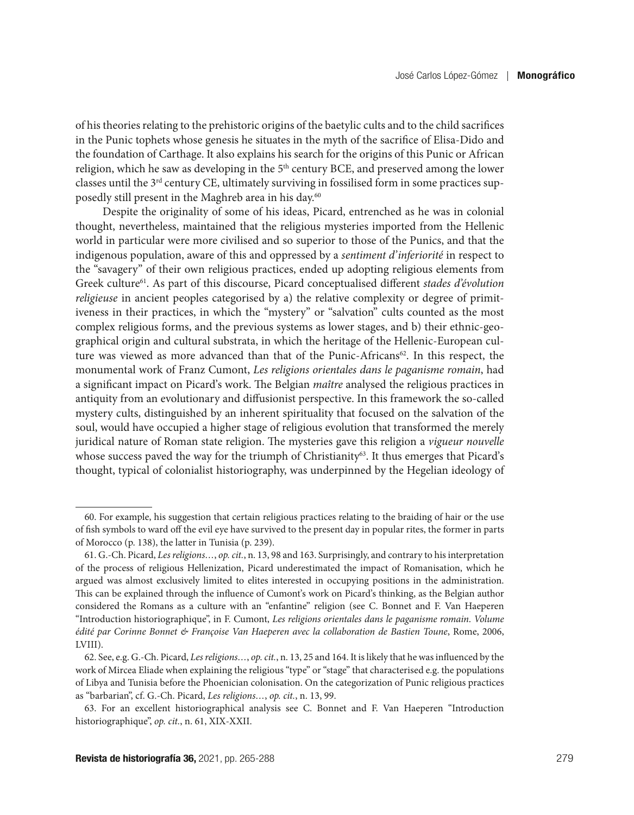of his theories relating to the prehistoric origins of the baetylic cults and to the child sacrifices in the Punic tophets whose genesis he situates in the myth of the sacrifice of Elisa-Dido and the foundation of Carthage. It also explains his search for the origins of this Punic or African religion, which he saw as developing in the 5<sup>th</sup> century BCE, and preserved among the lower classes until the  $3<sup>rd</sup>$  century CE, ultimately surviving in fossilised form in some practices supposedly still present in the Maghreb area in his day.<sup>60</sup>

Despite the originality of some of his ideas, Picard, entrenched as he was in colonial thought, nevertheless, maintained that the religious mysteries imported from the Hellenic world in particular were more civilised and so superior to those of the Punics, and that the indigenous population, aware of this and oppressed by a *sentiment d'inferiorité* in respect to the "savagery" of their own religious practices, ended up adopting religious elements from Greek culture<sup>61</sup>. As part of this discourse, Picard conceptualised different *stades d'évolution religieuse* in ancient peoples categorised by a) the relative complexity or degree of primitiveness in their practices, in which the "mystery" or "salvation" cults counted as the most complex religious forms, and the previous systems as lower stages, and b) their ethnic-geographical origin and cultural substrata, in which the heritage of the Hellenic-European culture was viewed as more advanced than that of the Punic-Africans<sup>62</sup>. In this respect, the monumental work of Franz Cumont, *Les religions orientales dans le paganisme romain*, had a significant impact on Picard's work. The Belgian *maître* analysed the religious practices in antiquity from an evolutionary and diffusionist perspective. In this framework the so-called mystery cults, distinguished by an inherent spirituality that focused on the salvation of the soul, would have occupied a higher stage of religious evolution that transformed the merely juridical nature of Roman state religion. The mysteries gave this religion a *vigueur nouvelle* whose success paved the way for the triumph of Christianity<sup>63</sup>. It thus emerges that Picard's thought, typical of colonialist historiography, was underpinned by the Hegelian ideology of

<sup>60.</sup> For example, his suggestion that certain religious practices relating to the braiding of hair or the use of fish symbols to ward off the evil eye have survived to the present day in popular rites, the former in parts of Morocco (p. 138), the latter in Tunisia (p. 239).

<sup>61.</sup> G.-Ch. Picard, *Les religions…*, *op. cit.*, n. 13, 98 and 163. Surprisingly, and contrary to his interpretation of the process of religious Hellenization, Picard underestimated the impact of Romanisation, which he argued was almost exclusively limited to elites interested in occupying positions in the administration. This can be explained through the influence of Cumont's work on Picard's thinking, as the Belgian author considered the Romans as a culture with an "enfantine" religion (see C. Bonnet and F. Van Haeperen "Introduction historiographique", in F. Cumont, *Les religions orientales dans le paganisme romain*. *Volume édité par Corinne Bonnet & Françoise Van Haeperen avec la collaboration de Bastien Toune*, Rome, 2006, LVIII).

<sup>62.</sup> See, e.g. G.-Ch. Picard, *Les religions…*, *op. cit.*, n. 13, 25 and 164. It is likely that he was influenced by the work of Mircea Eliade when explaining the religious "type" or "stage" that characterised e.g. the populations of Libya and Tunisia before the Phoenician colonisation. On the categorization of Punic religious practices as "barbarian", cf. G.-Ch. Picard, *Les religions…*, *op. cit.*, n. 13, 99.

<sup>63.</sup> For an excellent historiographical analysis see C. Bonnet and F. Van Haeperen "Introduction historiographique", *op. cit.*, n. 61, XIX-XXII.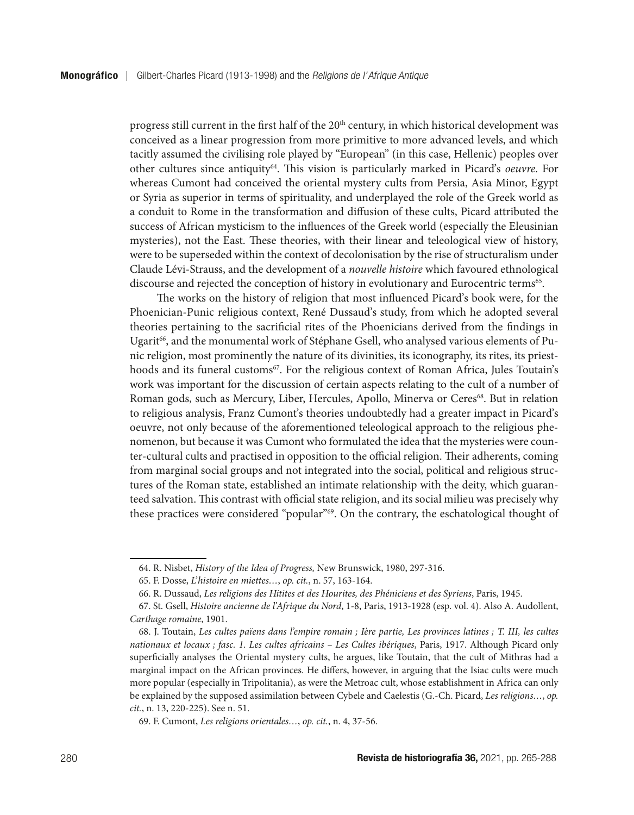progress still current in the first half of the 20<sup>th</sup> century, in which historical development was conceived as a linear progression from more primitive to more advanced levels, and which tacitly assumed the civilising role played by "European" (in this case, Hellenic) peoples over other cultures since antiquity64. This vision is particularly marked in Picard's *oeuvre*. For whereas Cumont had conceived the oriental mystery cults from Persia, Asia Minor, Egypt or Syria as superior in terms of spirituality, and underplayed the role of the Greek world as a conduit to Rome in the transformation and diffusion of these cults, Picard attributed the success of African mysticism to the influences of the Greek world (especially the Eleusinian mysteries), not the East. These theories, with their linear and teleological view of history, were to be superseded within the context of decolonisation by the rise of structuralism under Claude Lévi-Strauss, and the development of a *nouvelle histoire* which favoured ethnological discourse and rejected the conception of history in evolutionary and Eurocentric terms<sup>65</sup>.

The works on the history of religion that most influenced Picard's book were, for the Phoenician-Punic religious context, René Dussaud's study, from which he adopted several theories pertaining to the sacrificial rites of the Phoenicians derived from the findings in Ugarit<sup>66</sup>, and the monumental work of Stéphane Gsell, who analysed various elements of Punic religion, most prominently the nature of its divinities, its iconography, its rites, its priesthoods and its funeral customs<sup>67</sup>. For the religious context of Roman Africa, Jules Toutain's work was important for the discussion of certain aspects relating to the cult of a number of Roman gods, such as Mercury, Liber, Hercules, Apollo, Minerva or Ceres<sup>68</sup>. But in relation to religious analysis, Franz Cumont's theories undoubtedly had a greater impact in Picard's oeuvre, not only because of the aforementioned teleological approach to the religious phenomenon, but because it was Cumont who formulated the idea that the mysteries were counter-cultural cults and practised in opposition to the official religion. Their adherents, coming from marginal social groups and not integrated into the social, political and religious structures of the Roman state, established an intimate relationship with the deity, which guaranteed salvation. This contrast with official state religion, and its social milieu was precisely why these practices were considered "popular"<sup>69</sup>. On the contrary, the eschatological thought of

<sup>64.</sup> R. Nisbet, *History of the Idea of Progress,* New Brunswick, 1980, 297-316.

<sup>65.</sup> F. Dosse, *L'histoire en miettes…*, *op. cit.*, n. 57, 163-164.

<sup>66.</sup> R. Dussaud, *Les religions des Hitites et des Hourites, des Phéniciens et des Syriens*, Paris, 1945.

<sup>67.</sup> St. Gsell, *Histoire ancienne de l'Afrique du Nord*, 1-8, Paris, 1913-1928 (esp. vol. 4). Also A. Audollent, *Carthage romaine*, 1901.

<sup>68.</sup> J. Toutain, *Les cultes païens dans l'empire romain ; Ière partie, Les provinces latines ; T. III, les cultes nationaux et locaux ; fasc. 1. Les cultes africains – Les Cultes ibériques*, Paris, 1917. Although Picard only superficially analyses the Oriental mystery cults, he argues, like Toutain, that the cult of Mithras had a marginal impact on the African provinces. He differs, however, in arguing that the Isiac cults were much more popular (especially in Tripolitania), as were the Metroac cult, whose establishment in Africa can only be explained by the supposed assimilation between Cybele and Caelestis (G.-Ch. Picard, *Les religions…*, *op. cit.*, n. 13, 220-225). See n. 51.

<sup>69.</sup> F. Cumont, *Les religions orientales…*, *op. cit.*, n. 4, 37-56.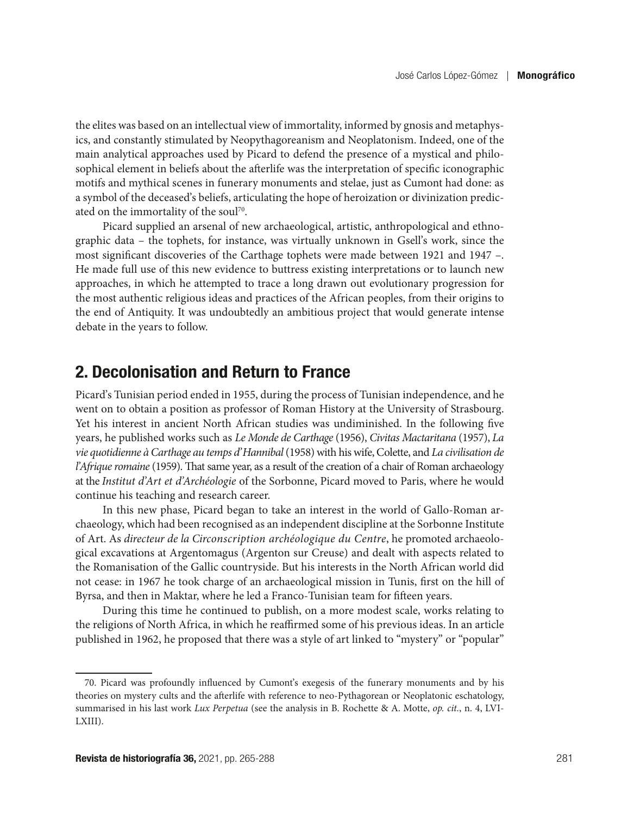the elites was based on an intellectual view of immortality, informed by gnosis and metaphysics, and constantly stimulated by Neopythagoreanism and Neoplatonism. Indeed, one of the main analytical approaches used by Picard to defend the presence of a mystical and philosophical element in beliefs about the afterlife was the interpretation of specific iconographic motifs and mythical scenes in funerary monuments and stelae, just as Cumont had done: as a symbol of the deceased's beliefs, articulating the hope of heroization or divinization predicated on the immortality of the soul<sup>70</sup>.

Picard supplied an arsenal of new archaeological, artistic, anthropological and ethnographic data – the tophets, for instance, was virtually unknown in Gsell's work, since the most significant discoveries of the Carthage tophets were made between 1921 and 1947 –. He made full use of this new evidence to buttress existing interpretations or to launch new approaches, in which he attempted to trace a long drawn out evolutionary progression for the most authentic religious ideas and practices of the African peoples, from their origins to the end of Antiquity. It was undoubtedly an ambitious project that would generate intense debate in the years to follow.

## 2. Decolonisation and Return to France

Picard's Tunisian period ended in 1955, during the process of Tunisian independence, and he went on to obtain a position as professor of Roman History at the University of Strasbourg. Yet his interest in ancient North African studies was undiminished. In the following five years, he published works such as *Le Monde de Carthage* (1956), *Civitas Mactaritana* (1957), *La vie quotidienne à Carthage au temps d'Hannibal* (1958) with his wife, Colette, and *La civilisation de l'Afrique romaine* (1959). That same year, as a result of the creation of a chair of Roman archaeology at the *Institut d'Art et d'Archéologie* of the Sorbonne, Picard moved to Paris, where he would continue his teaching and research career.

In this new phase, Picard began to take an interest in the world of Gallo-Roman archaeology, which had been recognised as an independent discipline at the Sorbonne Institute of Art. As *directeur de la Circonscription archéologique du Centre*, he promoted archaeological excavations at Argentomagus (Argenton sur Creuse) and dealt with aspects related to the Romanisation of the Gallic countryside. But his interests in the North African world did not cease: in 1967 he took charge of an archaeological mission in Tunis, first on the hill of Byrsa, and then in Maktar, where he led a Franco-Tunisian team for fifteen years.

During this time he continued to publish, on a more modest scale, works relating to the religions of North Africa, in which he reaffirmed some of his previous ideas. In an article published in 1962, he proposed that there was a style of art linked to "mystery" or "popular"

<sup>70.</sup> Picard was profoundly influenced by Cumont's exegesis of the funerary monuments and by his theories on mystery cults and the afterlife with reference to neo-Pythagorean or Neoplatonic eschatology, summarised in his last work *Lux Perpetua* (see the analysis in B. Rochette & A. Motte, *op. cit.*, n. 4, LVI-LXIII).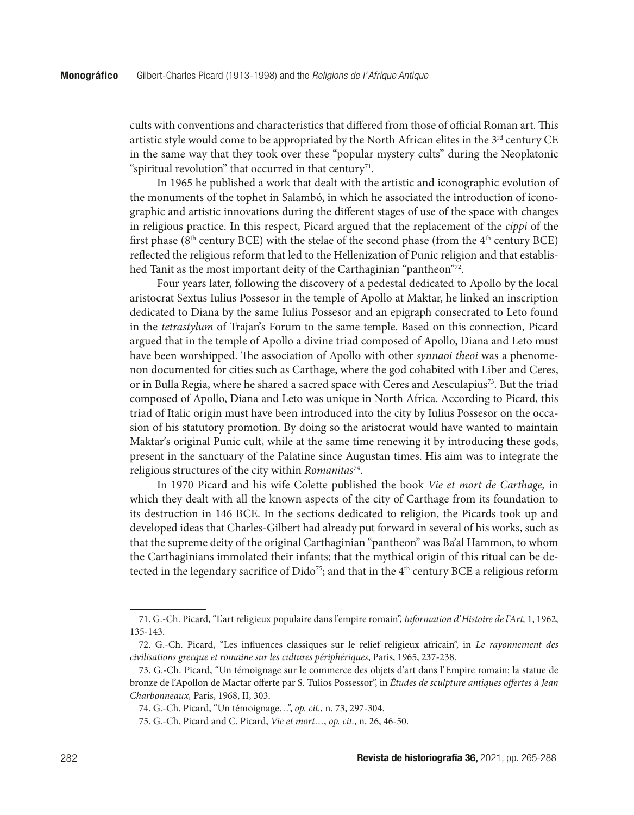cults with conventions and characteristics that differed from those of official Roman art. This artistic style would come to be appropriated by the North African elites in the  $3<sup>rd</sup>$  century CE in the same way that they took over these "popular mystery cults" during the Neoplatonic "spiritual revolution" that occurred in that century<sup>71</sup>.

In 1965 he published a work that dealt with the artistic and iconographic evolution of the monuments of the tophet in Salambó, in which he associated the introduction of iconographic and artistic innovations during the different stages of use of the space with changes in religious practice. In this respect, Picard argued that the replacement of the *cippi* of the first phase ( $8<sup>th</sup>$  century BCE) with the stelae of the second phase (from the  $4<sup>th</sup>$  century BCE) reflected the religious reform that led to the Hellenization of Punic religion and that established Tanit as the most important deity of the Carthaginian "pantheon"72.

Four years later, following the discovery of a pedestal dedicated to Apollo by the local aristocrat Sextus Iulius Possesor in the temple of Apollo at Maktar, he linked an inscription dedicated to Diana by the same Iulius Possesor and an epigraph consecrated to Leto found in the *tetrastylum* of Trajan's Forum to the same temple. Based on this connection, Picard argued that in the temple of Apollo a divine triad composed of Apollo, Diana and Leto must have been worshipped. The association of Apollo with other *synnaoi theoi* was a phenomenon documented for cities such as Carthage, where the god cohabited with Liber and Ceres, or in Bulla Regia, where he shared a sacred space with Ceres and Aesculapius<sup>73</sup>. But the triad composed of Apollo, Diana and Leto was unique in North Africa. According to Picard, this triad of Italic origin must have been introduced into the city by Iulius Possesor on the occasion of his statutory promotion. By doing so the aristocrat would have wanted to maintain Maktar's original Punic cult, while at the same time renewing it by introducing these gods, present in the sanctuary of the Palatine since Augustan times. His aim was to integrate the religious structures of the city within *Romanitas*74.

In 1970 Picard and his wife Colette published the book *Vie et mort de Carthage,* in which they dealt with all the known aspects of the city of Carthage from its foundation to its destruction in 146 BCE. In the sections dedicated to religion, the Picards took up and developed ideas that Charles-Gilbert had already put forward in several of his works, such as that the supreme deity of the original Carthaginian "pantheon" was Ba'al Hammon, to whom the Carthaginians immolated their infants; that the mythical origin of this ritual can be detected in the legendary sacrifice of  $Dido^{75}$ ; and that in the  $4<sup>th</sup>$  century BCE a religious reform

<sup>71.</sup> G.-Ch. Picard, "L'art religieux populaire dans l'empire romain", *Information d'Histoire de l'Art,* 1, 1962, 135-143.

<sup>72.</sup> G.-Ch. Picard, "Les influences classiques sur le relief religieux africain", in *Le rayonnement des civilisations grecque et romaine sur les cultures périphériques*, Paris, 1965, 237-238.

<sup>73.</sup> G.-Ch. Picard, "Un témoignage sur le commerce des objets d'art dans l'Empire romain: la statue de bronze de l'Apollon de Mactar offerte par S. Tulios Possessor", in *Études de sculpture antiques offertes à Jean Charbonneaux,* Paris, 1968, II, 303.

<sup>74.</sup> G.-Ch. Picard, "Un témoignage…", *op. cit.*, n. 73, 297-304.

<sup>75.</sup> G.-Ch. Picard and C. Picard, *Vie et mort…*, *op. cit.*, n. 26, 46-50.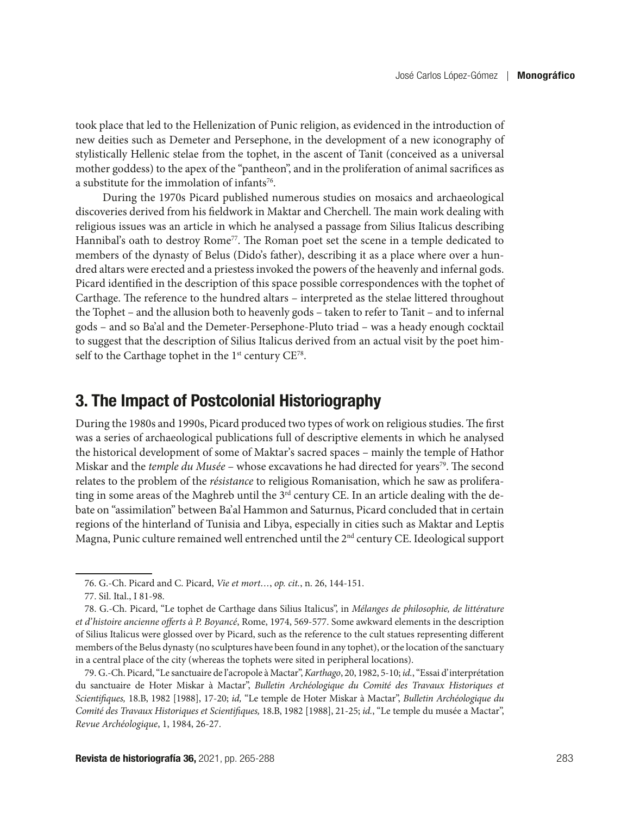took place that led to the Hellenization of Punic religion, as evidenced in the introduction of new deities such as Demeter and Persephone, in the development of a new iconography of stylistically Hellenic stelae from the tophet, in the ascent of Tanit (conceived as a universal mother goddess) to the apex of the "pantheon", and in the proliferation of animal sacrifices as a substitute for the immolation of infants<sup>76</sup>.

During the 1970s Picard published numerous studies on mosaics and archaeological discoveries derived from his fieldwork in Maktar and Cherchell. The main work dealing with religious issues was an article in which he analysed a passage from Silius Italicus describing Hannibal's oath to destroy Rome<sup>77</sup>. The Roman poet set the scene in a temple dedicated to members of the dynasty of Belus (Dido's father), describing it as a place where over a hundred altars were erected and a priestess invoked the powers of the heavenly and infernal gods. Picard identified in the description of this space possible correspondences with the tophet of Carthage. The reference to the hundred altars – interpreted as the stelae littered throughout the Tophet – and the allusion both to heavenly gods – taken to refer to Tanit – and to infernal gods – and so Ba'al and the Demeter-Persephone-Pluto triad – was a heady enough cocktail to suggest that the description of Silius Italicus derived from an actual visit by the poet himself to the Carthage tophet in the  $1<sup>st</sup>$  century  $CE^{78}$ .

#### 3. The Impact of Postcolonial Historiography

During the 1980s and 1990s, Picard produced two types of work on religious studies. The first was a series of archaeological publications full of descriptive elements in which he analysed the historical development of some of Maktar's sacred spaces – mainly the temple of Hathor Miskar and the *temple du Musée* – whose excavations he had directed for years<sup>79</sup>. The second relates to the problem of the *résistance* to religious Romanisation, which he saw as proliferating in some areas of the Maghreb until the 3<sup>rd</sup> century CE. In an article dealing with the debate on "assimilation" between Ba'al Hammon and Saturnus, Picard concluded that in certain regions of the hinterland of Tunisia and Libya, especially in cities such as Maktar and Leptis Magna, Punic culture remained well entrenched until the 2nd century CE. Ideological support

<sup>76.</sup> G.-Ch. Picard and C. Picard, *Vie et mort…*, *op. cit.*, n. 26, 144-151.

<sup>77.</sup> Sil. Ital., I 81-98.

<sup>78.</sup> G.-Ch. Picard, "Le tophet de Carthage dans Silius Italicus", in *Mélanges de philosophie, de littérature et d'histoire ancienne offerts à P. Boyancé*, Rome, 1974, 569-577. Some awkward elements in the description of Silius Italicus were glossed over by Picard, such as the reference to the cult statues representing different members of the Belus dynasty (no sculptures have been found in any tophet), or the location of the sanctuary in a central place of the city (whereas the tophets were sited in peripheral locations).

<sup>79.</sup> G.-Ch. Picard, "Le sanctuaire de l'acropole à Mactar", *Karthago*, 20, 1982, 5-10; *id.*, "Essai d'interprétation du sanctuaire de Hoter Miskar à Mactar", *Bulletin Archéologique du Comité des Travaux Historiques et Scientifiques,* 18.B, 1982 [1988], 17-20; *id,* "Le temple de Hoter Miskar à Mactar", *Bulletin Archéologique du Comité des Travaux Historiques et Scientifiques,* 18.B, 1982 [1988], 21-25; *id.*, "Le temple du musée a Mactar", *Revue Archéologique*, 1, 1984, 26-27.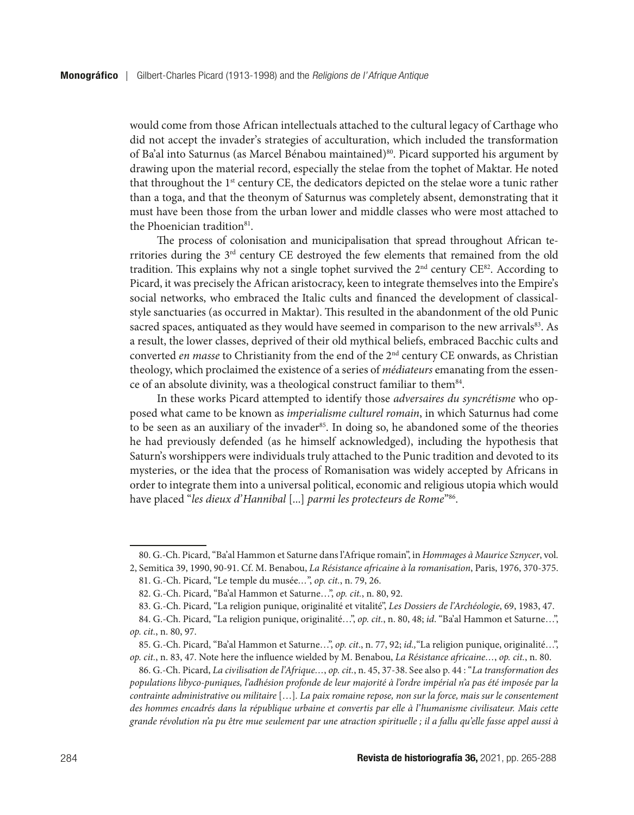would come from those African intellectuals attached to the cultural legacy of Carthage who did not accept the invader's strategies of acculturation, which included the transformation of Ba'al into Saturnus (as Marcel Bénabou maintained)<sup>80</sup>. Picard supported his argument by drawing upon the material record, especially the stelae from the tophet of Maktar. He noted that throughout the 1st century CE, the dedicators depicted on the stelae wore a tunic rather than a toga, and that the theonym of Saturnus was completely absent, demonstrating that it must have been those from the urban lower and middle classes who were most attached to the Phoenician tradition<sup>81</sup>.

The process of colonisation and municipalisation that spread throughout African territories during the 3rd century CE destroyed the few elements that remained from the old tradition. This explains why not a single tophet survived the  $2<sup>nd</sup>$  century CE<sup>82</sup>. According to Picard, it was precisely the African aristocracy, keen to integrate themselves into the Empire's social networks, who embraced the Italic cults and financed the development of classicalstyle sanctuaries (as occurred in Maktar). This resulted in the abandonment of the old Punic sacred spaces, antiquated as they would have seemed in comparison to the new arrivals<sup>83</sup>. As a result, the lower classes, deprived of their old mythical beliefs, embraced Bacchic cults and converted *en masse* to Christianity from the end of the 2<sup>nd</sup> century CE onwards, as Christian theology, which proclaimed the existence of a series of *médiateurs* emanating from the essence of an absolute divinity, was a theological construct familiar to them<sup>84</sup>.

In these works Picard attempted to identify those *adversaires du syncrétisme* who opposed what came to be known as *imperialisme culturel romain*, in which Saturnus had come to be seen as an auxiliary of the invader<sup>85</sup>. In doing so, he abandoned some of the theories he had previously defended (as he himself acknowledged), including the hypothesis that Saturn's worshippers were individuals truly attached to the Punic tradition and devoted to its mysteries, or the idea that the process of Romanisation was widely accepted by Africans in order to integrate them into a universal political, economic and religious utopia which would have placed "*les dieux d'Hannibal* [...] *parmi les protecteurs de Rome*"86.

<sup>80.</sup> G.-Ch. Picard, "Ba'al Hammon et Saturne dans l'Afrique romain", in *Hommages à Maurice Sznycer*, vol. 2, Semitica 39, 1990, 90-91. Cf. M. Benabou, *La Résistance africaine à la romanisation*, Paris, 1976, 370-375.

<sup>81.</sup> G.-Ch. Picard, "Le temple du musée*…*", *op. cit.*, n. 79, 26.

<sup>82.</sup> G.-Ch. Picard, "Ba'al Hammon et Saturne…", *op. cit.*, n. 80, 92.

<sup>83.</sup> G.-Ch. Picard, "La religion punique, originalité et vitalité", *Les Dossiers de l'Archéologie*, 69, 1983, 47.

<sup>84.</sup> G.-Ch. Picard, "La religion punique, originalité…", *op. cit.*, n. 80, 48; *id*. "Ba'al Hammon et Saturne…", *op. cit.*, n. 80, 97.

<sup>85.</sup> G.-Ch. Picard, "Ba'al Hammon et Saturne…", *op. cit*., n. 77, 92; *id.,*"La religion punique, originalité…", *op. cit.*, n. 83, 47. Note here the influence wielded by M. Benabou, *La Résistance africaine…*, *op. cit.*, n. 80.

<sup>86.</sup> G.-Ch. Picard, *La civilisation de l'Afrique…*, *op. cit.*, n. 45, 37-38. See also p. 44 : "*La transformation des populations libyco-puniques, l'adhésion profonde de leur majorité à l'ordre impérial n'a pas été imposée par la contrainte administrative ou militaire* […]*. La paix romaine repose, non sur la force, mais sur le consentement des hommes encadrés dans la république urbaine et convertis par elle à l'humanisme civilisateur. Mais cette grande révolution n'a pu être mue seulement par une atraction spirituelle ; il a fallu qu'elle fasse appel aussi à*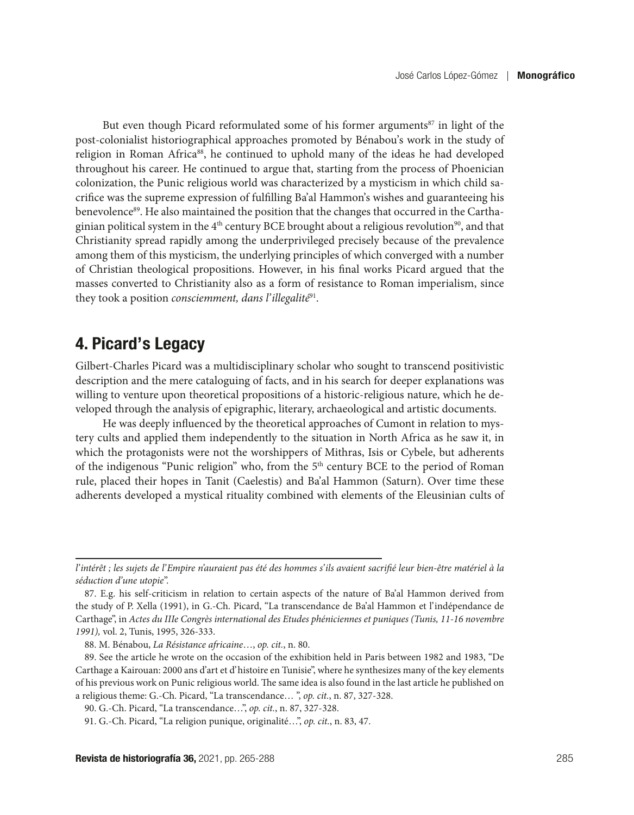But even though Picard reformulated some of his former arguments<sup>87</sup> in light of the post-colonialist historiographical approaches promoted by Bénabou's work in the study of religion in Roman Africa<sup>88</sup>, he continued to uphold many of the ideas he had developed throughout his career. He continued to argue that, starting from the process of Phoenician colonization, the Punic religious world was characterized by a mysticism in which child sacrifice was the supreme expression of fulfilling Ba'al Hammon's wishes and guaranteeing his benevolence<sup>89</sup>. He also maintained the position that the changes that occurred in the Carthaginian political system in the  $4<sup>th</sup>$  century BCE brought about a religious revolution<sup>90</sup>, and that Christianity spread rapidly among the underprivileged precisely because of the prevalence among them of this mysticism, the underlying principles of which converged with a number of Christian theological propositions. However, in his final works Picard argued that the masses converted to Christianity also as a form of resistance to Roman imperialism, since they took a position *consciemment, dans l'illegalité*91.

## 4. Picard's Legacy

Gilbert-Charles Picard was a multidisciplinary scholar who sought to transcend positivistic description and the mere cataloguing of facts, and in his search for deeper explanations was willing to venture upon theoretical propositions of a historic-religious nature, which he developed through the analysis of epigraphic, literary, archaeological and artistic documents.

He was deeply influenced by the theoretical approaches of Cumont in relation to mystery cults and applied them independently to the situation in North Africa as he saw it, in which the protagonists were not the worshippers of Mithras, Isis or Cybele, but adherents of the indigenous "Punic religion" who, from the 5<sup>th</sup> century BCE to the period of Roman rule, placed their hopes in Tanit (Caelestis) and Ba'al Hammon (Saturn). Over time these adherents developed a mystical rituality combined with elements of the Eleusinian cults of

*l'intérêt ; les sujets de l'Empire n'auraient pas été des hommes s'ils avaient sacrifié leur bien-être matériel à la séduction d'une utopie*".

<sup>87.</sup> E.g. his self-criticism in relation to certain aspects of the nature of Ba'al Hammon derived from the study of P. Xella (1991), in G.-Ch. Picard, "La transcendance de Ba'al Hammon et l'indépendance de Carthage", in *Actes du IIIe Congrès international des Etudes phéniciennes et puniques (Tunis, 11-16 novembre 1991),* vol. 2, Tunis, 1995, 326-333.

<sup>88.</sup> M. Bénabou, *La Résistance africaine*…, *op. cit.*, n. 80.

<sup>89.</sup> See the article he wrote on the occasion of the exhibition held in Paris between 1982 and 1983, "De Carthage a Kairouan: 2000 ans d'art et d'histoire en Tunisie", where he synthesizes many of the key elements of his previous work on Punic religious world. The same idea is also found in the last article he published on a religious theme: G.-Ch. Picard, "La transcendance… ", *op. cit.*, n. 87, 327-328.

<sup>90.</sup> G.-Ch. Picard, "La transcendance…", *op. cit.*, n. 87, 327-328.

<sup>91.</sup> G.-Ch. Picard, "La religion punique, originalité…", *op. cit.*, n. 83, 47.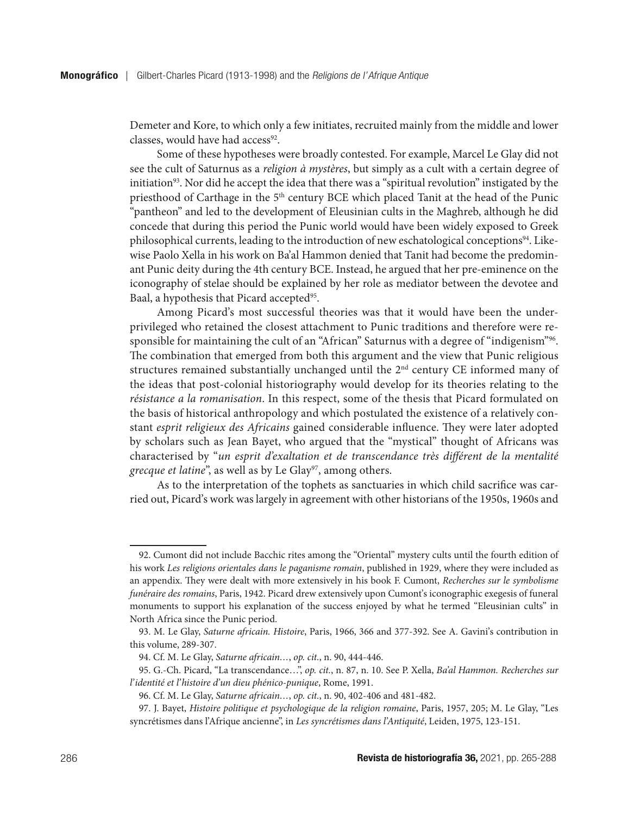Demeter and Kore, to which only a few initiates, recruited mainly from the middle and lower classes, would have had access<sup>92</sup>.

Some of these hypotheses were broadly contested. For example, Marcel Le Glay did not see the cult of Saturnus as a *religion à mystères*, but simply as a cult with a certain degree of initiation<sup>93</sup>. Nor did he accept the idea that there was a "spiritual revolution" instigated by the priesthood of Carthage in the 5<sup>th</sup> century BCE which placed Tanit at the head of the Punic "pantheon" and led to the development of Eleusinian cults in the Maghreb, although he did concede that during this period the Punic world would have been widely exposed to Greek philosophical currents, leading to the introduction of new eschatological conceptions<sup>94</sup>. Likewise Paolo Xella in his work on Ba'al Hammon denied that Tanit had become the predominant Punic deity during the 4th century BCE. Instead, he argued that her pre-eminence on the iconography of stelae should be explained by her role as mediator between the devotee and Baal, a hypothesis that Picard accepted<sup>95</sup>.

Among Picard's most successful theories was that it would have been the underprivileged who retained the closest attachment to Punic traditions and therefore were responsible for maintaining the cult of an "African" Saturnus with a degree of "indigenism"<sup>96</sup>. The combination that emerged from both this argument and the view that Punic religious structures remained substantially unchanged until the 2nd century CE informed many of the ideas that post-colonial historiography would develop for its theories relating to the *résistance a la romanisation*. In this respect, some of the thesis that Picard formulated on the basis of historical anthropology and which postulated the existence of a relatively constant *esprit religieux des Africains* gained considerable influence. They were later adopted by scholars such as Jean Bayet, who argued that the "mystical" thought of Africans was characterised by "*un esprit d'exaltation et de transcendance très différent de la mentalité grecque et latine*", as well as by Le Glay<sup>97</sup>, among others.

As to the interpretation of the tophets as sanctuaries in which child sacrifice was carried out, Picard's work was largely in agreement with other historians of the 1950s, 1960s and

<sup>92.</sup> Cumont did not include Bacchic rites among the "Oriental" mystery cults until the fourth edition of his work *Les religions orientales dans le paganisme romain*, published in 1929, where they were included as an appendix. They were dealt with more extensively in his book F. Cumont, *Recherches sur le symbolisme funéraire des romains*, Paris, 1942. Picard drew extensively upon Cumont's iconographic exegesis of funeral monuments to support his explanation of the success enjoyed by what he termed "Eleusinian cults" in North Africa since the Punic period.

<sup>93.</sup> M. Le Glay, *Saturne africain. Histoire*, Paris, 1966, 366 and 377-392. See A. Gavini's contribution in this volume, 289-307.

<sup>94.</sup> Cf. M. Le Glay, *Saturne africain…*, *op. cit.*, n. 90, 444-446.

<sup>95.</sup> G.-Ch. Picard, "La transcendance…", *op. cit.*, n. 87, n. 10. See P. Xella, *Ba'al Hammon. Recherches sur l'identité et l'histoire d'un dieu phénico-punique*, Rome, 1991.

<sup>96.</sup> Cf. M. Le Glay, *Saturne africain…*, *op. cit.*, n. 90, 402-406 and 481-482.

<sup>97.</sup> J. Bayet, *Histoire politique et psychologique de la religion romaine*, Paris, 1957, 205; M. Le Glay, "Les syncrétismes dans l'Afrique ancienne", in *Les syncrétismes dans l'Antiquité*, Leiden, 1975, 123-151.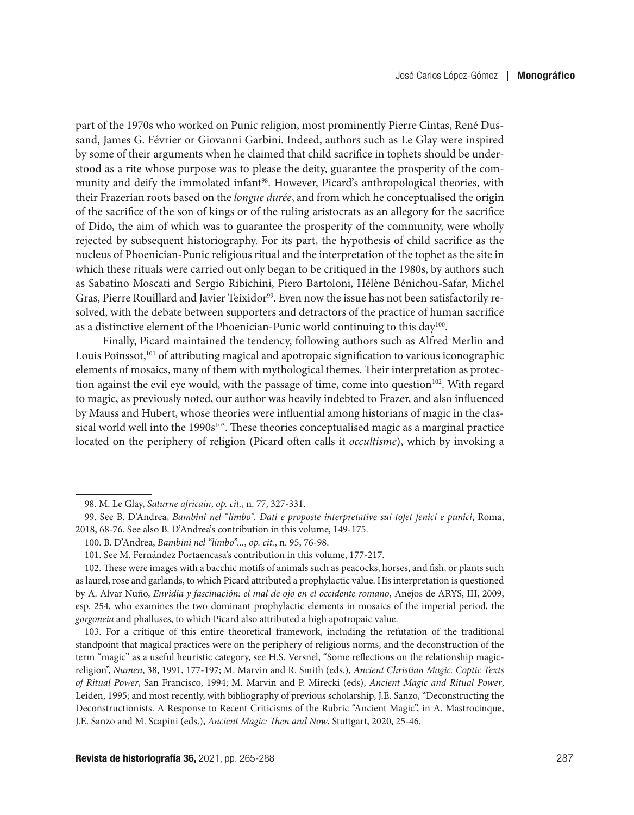part of the 1970s who worked on Punic religion, most prominently Pierre Cintas, René Dussand, James G. Février or Giovanni Garbini. Indeed, authors such as Le Glay were inspired by some of their arguments when he claimed that child sacrifice in tophets should be understood as a rite whose purpose was to please the deity, guarantee the prosperity of the community and deify the immolated infant<sup>98</sup>. However, Picard's anthropological theories, with their Frazerian roots based on the *longue durée*, and from which he conceptualised the origin of the sacrifice of the son of kings or of the ruling aristocrats as an allegory for the sacrifice of Dido, the aim of which was to guarantee the prosperity of the community, were wholly rejected by subsequent historiography. For its part, the hypothesis of child sacrifice as the nucleus of Phoenician-Punic religious ritual and the interpretation of the tophet as the site in which these rituals were carried out only began to be critiqued in the 1980s, by authors such as Sabatino Moscati and Sergio Ribichini, Piero Bartoloni, Hélène Bénichou-Safar, Michel Gras, Pierre Rouillard and Javier Teixidor<sup>99</sup>. Even now the issue has not been satisfactorily resolved, with the debate between supporters and detractors of the practice of human sacrifice as a distinctive element of the Phoenician-Punic world continuing to this day<sup>100</sup>.

Finally, Picard maintained the tendency, following authors such as Alfred Merlin and Louis Poinssot,<sup>101</sup> of attributing magical and apotropaic signification to various iconographic elements of mosaics, many of them with mythological themes. Their interpretation as protection against the evil eye would, with the passage of time, come into question $102$ . With regard to magic, as previously noted, our author was heavily indebted to Frazer, and also influenced by Mauss and Hubert, whose theories were influential among historians of magic in the classical world well into the  $1990s^{103}$ . These theories conceptualised magic as a marginal practice located on the periphery of religion (Picard often calls it *occultisme*), which by invoking a

103. For a critique of this entire theoretical framework, including the refutation of the traditional standpoint that magical practices were on the periphery of religious norms, and the deconstruction of the term "magic" as a useful heuristic category, see H.S. Versnel, "Some reflections on the relationship magicreligion", *Numen*, 38, 1991, 177-197; M. Marvin and R. Smith (eds.), *Ancient Christian Magic. Coptic Texts of Ritual Power*, San Francisco, 1994; M. Marvin and P. Mirecki (eds), *Ancient Magic and Ritual Power*, Leiden, 1995; and most recently, with bibliography of previous scholarship, J.E. Sanzo, "Deconstructing the Deconstructionists. A Response to Recent Criticisms of the Rubric "Ancient Magic", in A. Mastrocinque, J.E. Sanzo and M. Scapini (eds.), *Ancient Magic: Then and Now*, Stuttgart, 2020, 25-46.

<sup>98.</sup> M. Le Glay, *Saturne africain*, *op. cit.*, n. 77, 327-331.

<sup>99.</sup> See B. D'Andrea, *Bambini nel "limbo". Dati e proposte interpretative sui tofet fenici e punici*, Roma, 2018, 68-76. See also B. D'Andrea's contribution in this volume, 149-175.

<sup>100.</sup> B. D'Andrea, *Bambini nel "limbo"...*, *op. cit.*, n. 95, 76-98.

<sup>101.</sup> See M. Fernández Portaencasa's contribution in this volume, 177-217.

<sup>102.</sup> These were images with a bacchic motifs of animals such as peacocks, horses, and fish, or plants such as laurel, rose and garlands, to which Picard attributed a prophylactic value. His interpretation is questioned by A. Alvar Nuño, *Envidia y fascinación: el mal de ojo en el occidente romano*, Anejos de ARYS, III, 2009, esp. 254, who examines the two dominant prophylactic elements in mosaics of the imperial period, the *gorgoneia* and phalluses, to which Picard also attributed a high apotropaic value.